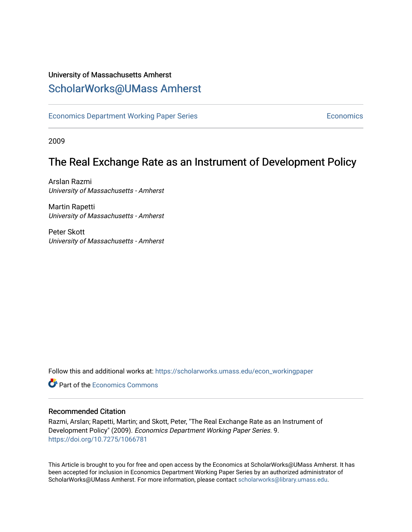# University of Massachusetts Amherst [ScholarWorks@UMass Amherst](https://scholarworks.umass.edu/)

[Economics Department Working Paper Series](https://scholarworks.umass.edu/econ_workingpaper) **Economics** [Economics](https://scholarworks.umass.edu/economics) Economics

2009

# The Real Exchange Rate as an Instrument of Development Policy

Arslan Razmi University of Massachusetts - Amherst

Martin Rapetti University of Massachusetts - Amherst

Peter Skott University of Massachusetts - Amherst

Follow this and additional works at: [https://scholarworks.umass.edu/econ\\_workingpaper](https://scholarworks.umass.edu/econ_workingpaper?utm_source=scholarworks.umass.edu%2Fecon_workingpaper%2F9&utm_medium=PDF&utm_campaign=PDFCoverPages) 

**C** Part of the [Economics Commons](http://network.bepress.com/hgg/discipline/340?utm_source=scholarworks.umass.edu%2Fecon_workingpaper%2F9&utm_medium=PDF&utm_campaign=PDFCoverPages)

### Recommended Citation

Razmi, Arslan; Rapetti, Martin; and Skott, Peter, "The Real Exchange Rate as an Instrument of Development Policy" (2009). Economics Department Working Paper Series. 9. <https://doi.org/10.7275/1066781>

This Article is brought to you for free and open access by the Economics at ScholarWorks@UMass Amherst. It has been accepted for inclusion in Economics Department Working Paper Series by an authorized administrator of ScholarWorks@UMass Amherst. For more information, please contact [scholarworks@library.umass.edu.](mailto:scholarworks@library.umass.edu)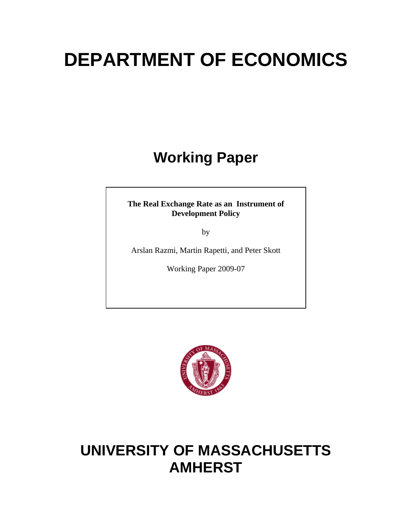# **DEPARTMENT OF ECONOMICS**

# **Working Paper**

# **The Real Exchange Rate as an Instrument of Development Policy**

by

Arslan Razmi, Martin Rapetti, and Peter Skott

Working Paper 2009-07



# **UNIVERSITY OF MASSACHUSETTS AMHERST**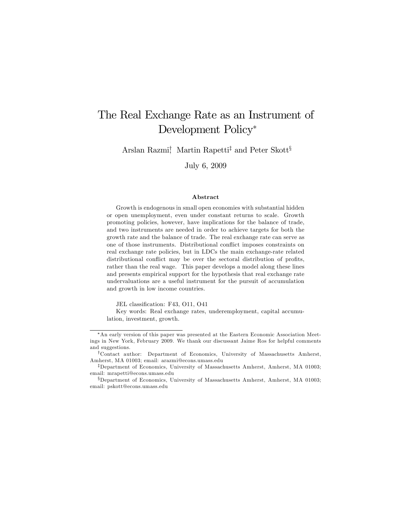# The Real Exchange Rate as an Instrument of Development Policy

Arslan Razmi, Martin Rapetti<sup>‡</sup> and Peter Skott<sup>§</sup>

July 6, 2009

#### Abstract

Growth is endogenous in small open economies with substantial hidden or open unemployment, even under constant returns to scale. Growth promoting policies, however, have implications for the balance of trade, and two instruments are needed in order to achieve targets for both the growth rate and the balance of trade. The real exchange rate can serve as one of those instruments. Distributional conflict imposes constraints on real exchange rate policies, but in LDCs the main exchange-rate related distributional conflict may be over the sectoral distribution of profits, rather than the real wage. This paper develops a model along these lines and presents empirical support for the hypothesis that real exchange rate undervaluations are a useful instrument for the pursuit of accumulation and growth in low income countries.

JEL classification: F43, O11, O41

Key words: Real exchange rates, underemployment, capital accumulation, investment, growth.

An early version of this paper was presented at the Eastern Economic Association Meetings in New York, February 2009. We thank our discussant Jaime Ros for helpful comments and suggestions.

<sup>&</sup>lt;sup>†</sup>Contact author: Department of Economics, University of Massachusetts Amherst, Amherst, MA 01003; email: arazmi@econs.umass.edu

<sup>&</sup>lt;sup>‡</sup>Department of Economics, University of Massachusetts Amherst, Amherst, MA 01003; email: mrapetti@econs.umass.edu

xDepartment of Economics, University of Massachusetts Amherst, Amherst, MA 01003; email: pskott@econs.umass.edu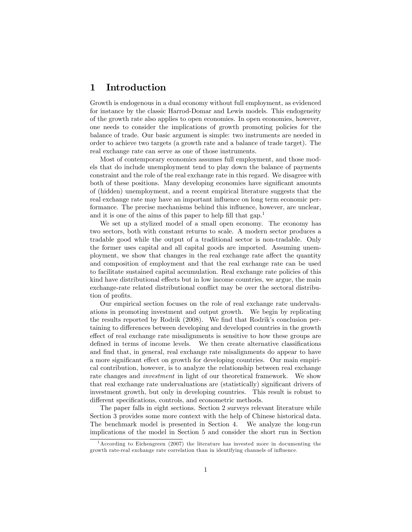# 1 Introduction

Growth is endogenous in a dual economy without full employment, as evidenced for instance by the classic Harrod-Domar and Lewis models. This endogeneity of the growth rate also applies to open economies. In open economies, however, one needs to consider the implications of growth promoting policies for the balance of trade. Our basic argument is simple: two instruments are needed in order to achieve two targets (a growth rate and a balance of trade target). The real exchange rate can serve as one of those instruments.

Most of contemporary economics assumes full employment, and those models that do include unemployment tend to play down the balance of payments constraint and the role of the real exchange rate in this regard. We disagree with both of these positions. Many developing economies have significant amounts of (hidden) unemployment, and a recent empirical literature suggests that the real exchange rate may have an important influence on long term economic performance. The precise mechanisms behind this influence, however, are unclear, and it is one of the aims of this paper to help fill that  $\gamma$ <sub>1</sub><sup>1</sup>

We set up a stylized model of a small open economy. The economy has two sectors, both with constant returns to scale. A modern sector produces a tradable good while the output of a traditional sector is non-tradable. Only the former uses capital and all capital goods are imported. Assuming unemployment, we show that changes in the real exchange rate affect the quantity and composition of employment and that the real exchange rate can be used to facilitate sustained capital accumulation. Real exchange rate policies of this kind have distributional effects but in low income countries, we argue, the main exchange-rate related distributional conflict may be over the sectoral distribution of profits.

Our empirical section focuses on the role of real exchange rate undervaluations in promoting investment and output growth. We begin by replicating the results reported by Rodrik (2008). We find that Rodrik's conclusion pertaining to differences between developing and developed countries in the growth effect of real exchange rate misalignments is sensitive to how these groups are defined in terms of income levels. We then create alternative classifications and find that, in general, real exchange rate misalignments do appear to have a more significant effect on growth for developing countries. Our main empirical contribution, however, is to analyze the relationship between real exchange rate changes and investment in light of our theoretical framework. We show that real exchange rate undervaluations are (statistically) significant drivers of investment growth, but only in developing countries. This result is robust to different specifications, controls, and econometric methods.

The paper falls in eight sections. Section 2 surveys relevant literature while Section 3 provides some more context with the help of Chinese historical data. The benchmark model is presented in Section 4. We analyze the long-run implications of the model in Section 5 and consider the short run in Section

 $1$ According to Eichengreen (2007) the literature has invested more in documenting the growth rate-real exchange rate correlation than in identifying channels of ináuence.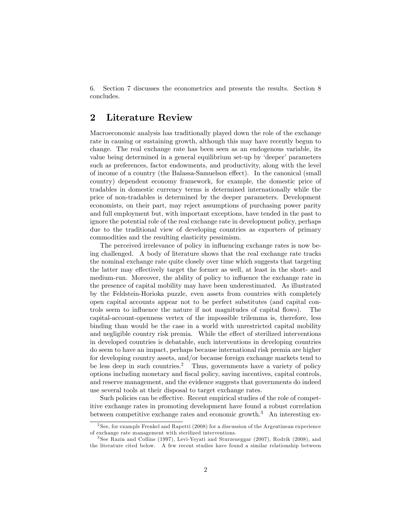6. Section 7 discusses the econometrics and presents the results. Section 8 concludes.

# 2 Literature Review

Macroeconomic analysis has traditionally played down the role of the exchange rate in causing or sustaining growth, although this may have recently begun to change. The real exchange rate has been seen as an endogenous variable, its value being determined in a general equilibrium set-up by 'deeper' parameters such as preferences, factor endowments, and productivity, along with the level of income of a country (the Balassa-Samuelson effect). In the canonical (small country) dependent economy framework, for example, the domestic price of tradables in domestic currency terms is determined internationally while the price of non-tradables is determined by the deeper parameters. Development economists, on their part, may reject assumptions of purchasing power parity and full employment but, with important exceptions, have tended in the past to ignore the potential role of the real exchange rate in development policy, perhaps due to the traditional view of developing countries as exporters of primary commodities and the resulting elasticity pessimism.

The perceived irrelevance of policy in influencing exchange rates is now being challenged. A body of literature shows that the real exchange rate tracks the nominal exchange rate quite closely over time which suggests that targeting the latter may effectively target the former as well, at least in the short- and medium-run. Moreover, the ability of policy to influence the exchange rate in the presence of capital mobility may have been underestimated. As illustrated by the Feldstein-Horioka puzzle, even assets from countries with completely open capital accounts appear not to be perfect substitutes (and capital controls seem to influence the nature if not magnitudes of capital flows). The capital-account-openness vertex of the impossible trilemma is, therefore, less binding than would be the case in a world with unrestricted capital mobility and negligible country risk premia. While the effect of sterilized interventions in developed countries is debatable, such interventions in developing countries do seem to have an impact, perhaps because international risk premia are higher for developing country assets, and/or because foreign exchange markets tend to be less deep in such countries.<sup>2</sup> Thus, governments have a variety of policy options including monetary and Öscal policy, saving incentives, capital controls, and reserve management, and the evidence suggests that governments do indeed use several tools at their disposal to target exchange rates.

Such policies can be effective. Recent empirical studies of the role of competitive exchange rates in promoting development have found a robust correlation between competitive exchange rates and economic growth.<sup>3</sup> An interesting ex-

<sup>&</sup>lt;sup>2</sup> See, for example Frenkel and Rapetti (2008) for a discussion of the Argentinean experience of exchange rate management with sterilized interventions.

<sup>3</sup> See Razin and Collins (1997), Levi-Yeyati and Sturzeneggar (2007), Rodrik (2008), and the literature cited below. A few recent studies have found a similar relationship between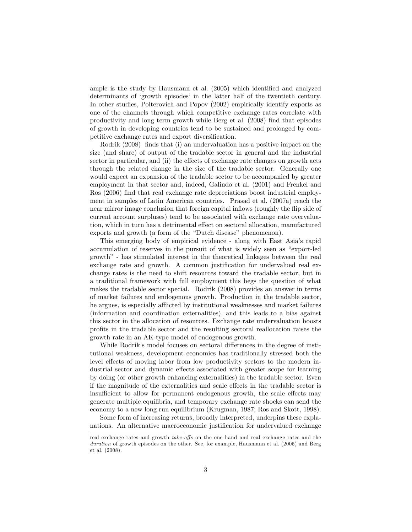ample is the study by Hausmann et al.  $(2005)$  which identified and analyzed determinants of 'growth episodes' in the latter half of the twentieth century. In other studies, Polterovich and Popov (2002) empirically identify exports as one of the channels through which competitive exchange rates correlate with productivity and long term growth while Berg et al. (2008) Önd that episodes of growth in developing countries tend to be sustained and prolonged by competitive exchange rates and export diversification.

Rodrik (2008) finds that (i) an undervaluation has a positive impact on the size (and share) of output of the tradable sector in general and the industrial sector in particular, and (ii) the effects of exchange rate changes on growth acts through the related change in the size of the tradable sector. Generally one would expect an expansion of the tradable sector to be accompanied by greater employment in that sector and, indeed, Galindo et al. (2001) and Frenkel and Ros (2006) find that real exchange rate depreciations boost industrial employment in samples of Latin American countries. Prasad et al. (2007a) reach the near mirror image conclusion that foreign capital inflows (roughly the flip side of current account surpluses) tend to be associated with exchange rate overvaluation, which in turn has a detrimental effect on sectoral allocation, manufactured exports and growth (a form of the "Dutch disease" phenomenon).

This emerging body of empirical evidence - along with East Asiaís rapid accumulation of reserves in the pursuit of what is widely seen as "export-led growth<sup>"</sup> - has stimulated interest in the theoretical linkages between the real exchange rate and growth. A common justification for undervalued real exchange rates is the need to shift resources toward the tradable sector, but in a traditional framework with full employment this begs the question of what makes the tradable sector special. Rodrik (2008) provides an answer in terms of market failures and endogenous growth. Production in the tradable sector, he argues, is especially afflicted by institutional weaknesses and market failures (information and coordination externalities), and this leads to a bias against this sector in the allocation of resources. Exchange rate undervaluation boosts proÖts in the tradable sector and the resulting sectoral reallocation raises the growth rate in an AK-type model of endogenous growth.

While Rodrik's model focuses on sectoral differences in the degree of institutional weakness, development economics has traditionally stressed both the level effects of moving labor from low productivity sectors to the modern industrial sector and dynamic effects associated with greater scope for learning by doing (or other growth enhancing externalities) in the tradable sector. Even if the magnitude of the externalities and scale effects in the tradable sector is insufficient to allow for permanent endogenous growth, the scale effects may generate multiple equilibria, and temporary exchange rate shocks can send the economy to a new long run equilibrium (Krugman, 1987; Ros and Skott, 1998).

Some form of increasing returns, broadly interpreted, underpins these explanations. An alternative macroeconomic justification for undervalued exchange

real exchange rates and growth  $take\text{-}offs$  on the one hand and real exchange rates and the duration of growth episodes on the other. See, for example, Hausmann et al. (2005) and Berg et al. (2008).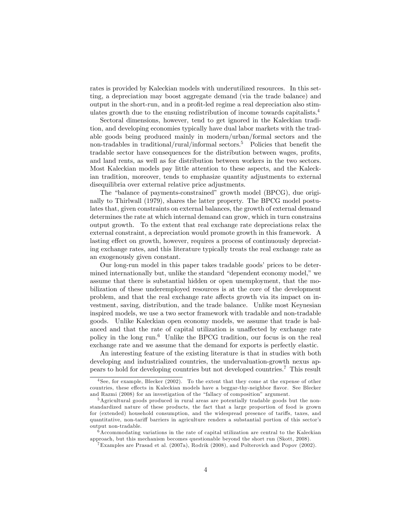rates is provided by Kaleckian models with underutilized resources. In this setting, a depreciation may boost aggregate demand (via the trade balance) and output in the short-run, and in a profit-led regime a real depreciation also stimulates growth due to the ensuing redistribution of income towards capitalists.<sup>4</sup>

Sectoral dimensions, however, tend to get ignored in the Kaleckian tradition, and developing economies typically have dual labor markets with the tradable goods being produced mainly in modern/urban/formal sectors and the non-tradables in traditional/rural/informal sectors.<sup>5</sup> Policies that benefit the tradable sector have consequences for the distribution between wages, profits, and land rents, as well as for distribution between workers in the two sectors. Most Kaleckian models pay little attention to these aspects, and the Kaleckian tradition, moreover, tends to emphasize quantity adjustments to external disequilibria over external relative price adjustments.

The "balance of payments-constrained" growth model (BPCG), due originally to Thirlwall (1979), shares the latter property. The BPCG model postulates that, given constraints on external balances, the growth of external demand determines the rate at which internal demand can grow, which in turn constrains output growth. To the extent that real exchange rate depreciations relax the external constraint, a depreciation would promote growth in this framework. A lasting effect on growth, however, requires a process of continuously depreciating exchange rates, and this literature typically treats the real exchange rate as an exogenously given constant.

Our long-run model in this paper takes tradable goods' prices to be determined internationally but, unlike the standard "dependent economy model," we assume that there is substantial hidden or open unemployment, that the mobilization of these underemployed resources is at the core of the development problem, and that the real exchange rate affects growth via its impact on investment, saving, distribution, and the trade balance. Unlike most Keynesian inspired models, we use a two sector framework with tradable and non-tradable goods. Unlike Kaleckian open economy models, we assume that trade is balanced and that the rate of capital utilization is unaffected by exchange rate policy in the long run.<sup>6</sup> Unlike the BPCG tradition, our focus is on the real exchange rate and we assume that the demand for exports is perfectly elastic.

An interesting feature of the existing literature is that in studies with both developing and industrialized countries, the undervaluation-growth nexus appears to hold for developing countries but not developed countries.<sup>7</sup> This result

<sup>&</sup>lt;sup>4</sup> See, for example, Blecker (2002). To the extent that they come at the expense of other countries, these effects in Kaleckian models have a beggar-thy-neighbor flavor. See Blecker and Razmi  $(2008)$  for an investigation of the "fallacy of composition" argument.

<sup>&</sup>lt;sup>5</sup>Agricultural goods produced in rural areas are potentially tradable goods but the nonstandardized nature of these products, the fact that a large proportion of food is grown for (extended) household consumption, and the widespread presence of tariffs, taxes, and quantitative, non-tariff barriers in agriculture renders a substantial portion of this sector's output non-tradable.

<sup>6</sup>Accommodating variations in the rate of capital utilization are central to the Kaleckian approach, but this mechanism becomes questionable beyond the short run (Skott, 2008).

<sup>&</sup>lt;sup>7</sup>Examples are Prasad et al. (2007a), Rodrik (2008), and Polterovich and Popov (2002).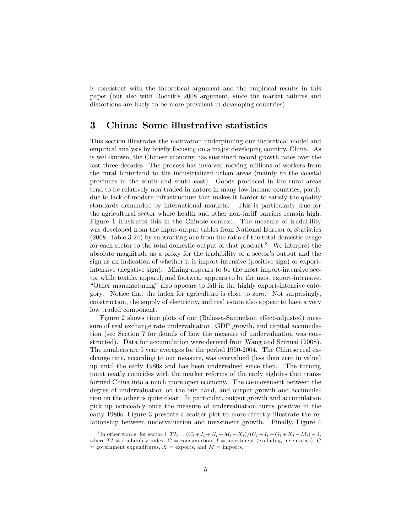is consistent with the theoretical argument and the empirical results in this paper (but also with Rodrik's 2008 argument, since the market failures and distortions are likely to be more prevalent in developing countries).

## 3 China: Some illustrative statistics

This section illustrates the motivation underpinning our theoretical model and empirical analysis by briefly focusing on a major developing country, China. As is well-known, the Chinese economy has sustained record growth rates over the last three decades. The process has involved moving millions of workers from the rural hinterland to the industrialized urban areas (mainly to the coastal provinces in the south and south east). Goods produced in the rural areas tend to be relatively non-traded in nature in many low-income countries, partly due to lack of modern infrastructure that makes it harder to satisfy the quality standards demanded by international markets. This is particularly true for the agricultural sector where health and other non-tariff barriers remain high. Figure 1 illustrates this in the Chinese context. The measure of tradability was developed from the input-output tables from National Bureau of Statistics (2008, Table 3-24) by subtracting one from the ratio of the total domestic usage for each sector to the total domestic output of that product.<sup>8</sup> We interpret the absolute magnitude as a proxy for the tradability of a sector's output and the sign as an indication of whether it is import-intensive (positive sign) or exportintensive (negative sign). Mining appears to be the most import-intensive sector while textile, apparel, and footwear appears to be the most export-intensive. ìOther manufacturingî also appears to fall in the highly export-intensive category. Notice that the index for agriculture is close to zero. Not surprisingly, construction, the supply of electricity, and real estate also appear to have a very low traded component.

Figure 2 shows time plots of our (Balassa-Samuelson effect-adjusted) measure of real exchange rate undervaluation, GDP growth, and capital accumulation (see Section 7 for details of how the measure of undervaluation was constructed). Data for accumulation were derived from Wang and Szirmai (2008). The numbers are 5 year averages for the period 1950-2004. The Chinese real exchange rate, according to our measure, was overvalued (less than zero in value) up until the early 1980s and has been undervalued since then. The turning point neatly coincides with the market reforms of the early eighties that transformed China into a much more open economy. The co-movement between the degree of undervaluation on the one hand, and output growth and accumulation on the other is quite clear. In particular, output growth and accumulation pick up noticeably once the measure of undervaluation turns positive in the early 1980s. Figure 3 presents a scatter plot to more directly illustrate the relationship between undervaluation and investment growth. Finally, Figure 4

<sup>&</sup>lt;sup>8</sup>In other words, for sector *i*,  $TI_i = (C_i + I_i + G_i + M_i - X_i)/(C_i + I_i + G_i + X_i - M_i) - 1$ , where  $TI = \text{tradability index}, C = \text{consumption}, I = \text{investment (excluding inventories)}, G$ = government expenditures,  $X$  = exports, and  $M$  = imports.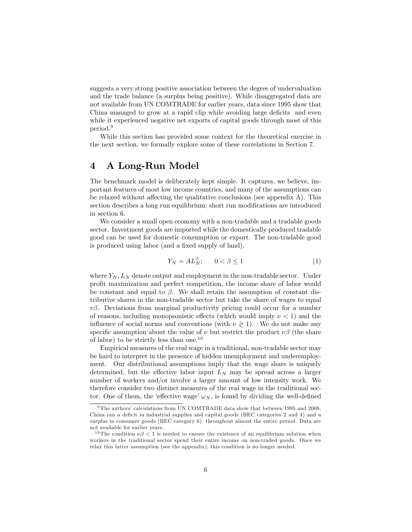suggests a very strong positive association between the degree of undervaluation and the trade balance (a surplus being positive). While disaggregated data are not available from UN COMTRADE for earlier years, data since 1995 show that China managed to grow at a rapid clip while avoiding large deficits and even while it experienced negative net exports of capital goods through most of this period.<sup>9</sup>

While this section has provided some context for the theoretical exercise in the next section, we formally explore some of these correlations in Section 7.

# 4 A Long-Run Model

The benchmark model is deliberately kept simple. It captures, we believe, important features of most low income countries, and many of the assumptions can be relaxed without affecting the qualitative conclusions (see appendix  $A$ ). This section describes a long run equilibrium; short run modifications are introduced in section 6.

We consider a small open economy with a non-tradable and a tradable goods sector. Investment goods are imported while the domestically produced tradable good can be used for domestic consumption or export. The non-tradable good is produced using labor (and a fixed supply of land),

$$
Y_N = A L_N^{\beta}; \qquad 0 < \beta \le 1 \tag{1}
$$

where  $Y_N$ ,  $L_N$  denote output and employment in the non-tradable sector. Under profit maximization and perfect competition, the income share of labor would be constant and equal to  $\beta$ . We shall retain the assumption of constant distributive shares in the non-tradable sector but take the share of wages to equal  $v\beta$ . Deviations from marginal productivity pricing could occur for a number of reasons, including monopsonistic effects (which would imply  $\nu < 1$ ) and the influence of social norms and conventions (with  $\nu \geq 1$ ). We do not make any specific assumption about the value of  $\nu$  but restrict the product  $\nu\beta$  (the share of labor) to be strictly less than one.<sup>10</sup>

Empirical measures of the real wage in a traditional, non-tradable sector may be hard to interpret in the presence of hidden unemployment and underemployment. Our distributional assumptions imply that the wage share is uniquely determined, but the effective labor input  $L<sub>N</sub>$  may be spread across a larger number of workers and/or involve a larger amount of low intensity work. We therefore consider two distinct measures of the real wage in the traditional sector. One of them, the 'effective wage'  $\omega_N$ , is found by dividing the well-defined

 $9$ The authors' calculations from UN COMTRADE data show that between 1995 and 2008. China ran a deficit in industrial supplies and capital goods (BEC categories 2 and 4) and a surplus in consumer goods (BEC category 6) throughout almost the entire period. Data are not available for earlier years.

<sup>&</sup>lt;sup>10</sup> The condition  $\nu\beta < 1$  is needed to ensure the existence of an equilibrium solution when workers in the traditional sector spend their entire income on non-traded goods. Once we relax this latter assumption (see the appendix), this condition is no longer needed.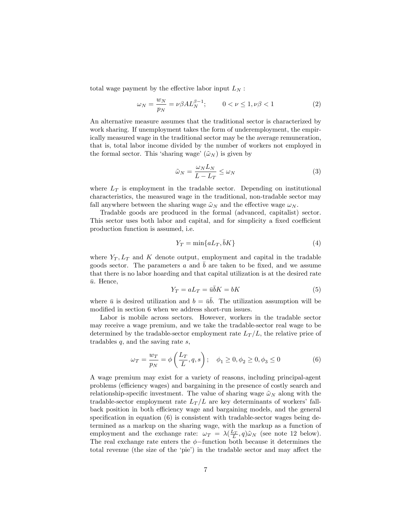total wage payment by the effective labor input  $L<sub>N</sub>$ :

$$
\omega_N = \frac{w_N}{p_N} = \nu \beta A L_N^{\beta - 1}; \qquad 0 < \nu \le 1, \nu \beta < 1 \tag{2}
$$

An alternative measure assumes that the traditional sector is characterized by work sharing. If unemployment takes the form of underemployment, the empirically measured wage in the traditional sector may be the average remuneration, that is, total labor income divided by the number of workers not employed in the formal sector. This 'sharing wage'  $(\tilde{\omega}_N)$  is given by

$$
\tilde{\omega}_N = \frac{\omega_N L_N}{L - L_T} \le \omega_N \tag{3}
$$

where  $L_T$  is employment in the tradable sector. Depending on institutional characteristics, the measured wage in the traditional, non-tradable sector may fall anywhere between the sharing wage  $\tilde{\omega}_N$  and the effective wage  $\omega_N$ .

Tradable goods are produced in the formal (advanced, capitalist) sector. This sector uses both labor and capital, and for simplicity a fixed coefficient production function is assumed, i.e.

$$
Y_T = \min\{aL_T, \bar{b}K\} \tag{4}
$$

where  $Y_T$ ,  $L_T$  and K denote output, employment and capital in the tradable goods sector. The parameters  $a$  and  $\overline{b}$  are taken to be fixed, and we assume that there is no labor hoarding and that capital utilization is at the desired rate  $\bar{u}$ . Hence,

$$
Y_T = aL_T = \bar{u}\bar{b}K = bK\tag{5}
$$

where  $\bar{u}$  is desired utilization and  $b = u\bar{b}$ . The utilization assumption will be modified in section 6 when we address short-run issues.

Labor is mobile across sectors. However, workers in the tradable sector may receive a wage premium, and we take the tradable-sector real wage to be determined by the tradable-sector employment rate  $L_T/L$ , the relative price of tradables  $q$ , and the saving rate  $s$ ,

$$
\omega_T = \frac{w_T}{p_N} = \phi\left(\frac{L_T}{L}, q, s\right); \quad \phi_1 \ge 0, \phi_2 \ge 0, \phi_3 \le 0
$$
 (6)

A wage premium may exist for a variety of reasons, including principal-agent problems (efficiency wages) and bargaining in the presence of costly search and relationship-specific investment. The value of sharing wage  $\tilde{\omega}_N$  along with the tradable-sector employment rate  $L_T/L$  are key determinants of workers' fallback position in both efficiency wage and bargaining models, and the general specification in equation  $(6)$  is consistent with tradable-sector wages being determined as a markup on the sharing wage, with the markup as a function of employment and the exchange rate:  $\omega_T = \lambda(\frac{L_T}{L}, q)\tilde{\omega}_N$  (see note 12 below). The real exchange rate enters the  $\phi$ -function both because it determines the total revenue (the size of the 'pie') in the tradable sector and may affect the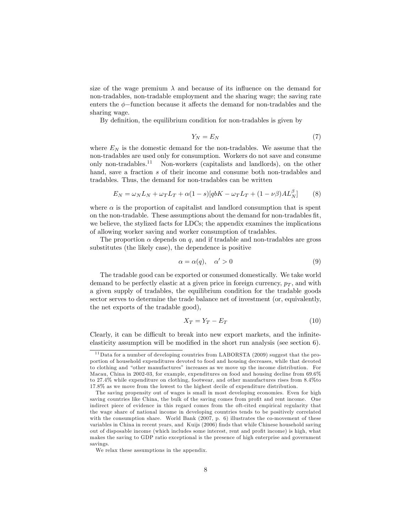size of the wage premium  $\lambda$  and because of its influence on the demand for non-tradables, non-tradable employment and the sharing wage; the saving rate enters the  $\phi$ -function because it affects the demand for non-tradables and the sharing wage.

By definition, the equilibrium condition for non-tradables is given by

$$
Y_N = E_N \tag{7}
$$

where  $E_N$  is the domestic demand for the non-tradables. We assume that the non-tradables are used only for consumption. Workers do not save and consume only non-tradables.<sup>11</sup> Non-workers (capitalists and landlords), on the other hand, save a fraction s of their income and consume both non-tradables and tradables. Thus, the demand for non-tradables can be written

$$
E_N = \omega_N L_N + \omega_T L_T + \alpha (1 - s) [q b K - \omega_T L_T + (1 - \nu \beta) A L_N^{\beta}] \tag{8}
$$

where  $\alpha$  is the proportion of capitalist and landlord consumption that is spent on the non-tradable. These assumptions about the demand for non-tradables fit, we believe, the stylized facts for LDCs; the appendix examines the implications of allowing worker saving and worker consumption of tradables.

The proportion  $\alpha$  depends on q, and if tradable and non-tradables are gross substitutes (the likely case), the dependence is positive

$$
\alpha = \alpha(q), \quad \alpha' > 0 \tag{9}
$$

The tradable good can be exported or consumed domestically. We take world demand to be perfectly elastic at a given price in foreign currency,  $p<sub>T</sub>$ , and with a given supply of tradables, the equilibrium condition for the tradable goods sector serves to determine the trade balance net of investment (or, equivalently, the net exports of the tradable good),

$$
X_T = Y_T - E_T \tag{10}
$$

Clearly, it can be difficult to break into new export markets, and the infiniteelasticity assumption will be modified in the short run analysis (see section  $6$ ).

 $11$  Data for a number of developing countries from LABORSTA (2009) suggest that the proportion of household expenditures devoted to food and housing decreases, while that devoted to clothing and "other manufactures" increases as we move up the income distribution. For Macau, China in 2002-03, for example, expenditures on food and housing decline from 69.6% to 27.4% while expenditure on clothing, footwear, and other manufactures rises from 8.4%to 17.8% as we move from the lowest to the highest decile of expenditure distribution.

The saving propensity out of wages is small in most developing economies. Even for high saving countries like China, the bulk of the saving comes from profit and rent income. One indirect piece of evidence in this regard comes from the oft-cited empirical regularity that the wage share of national income in developing countries tends to be positively correlated with the consumption share. World Bank (2007, p. 6) illustrates the co-movement of these variables in China in recent years, and Kuijs (2006) finds that while Chinese household saving out of disposable income (which includes some interest, rent and profit income) is high, what makes the saving to GDP ratio exceptional is the presence of high enterprise and government savings.

We relax these assumptions in the appendix.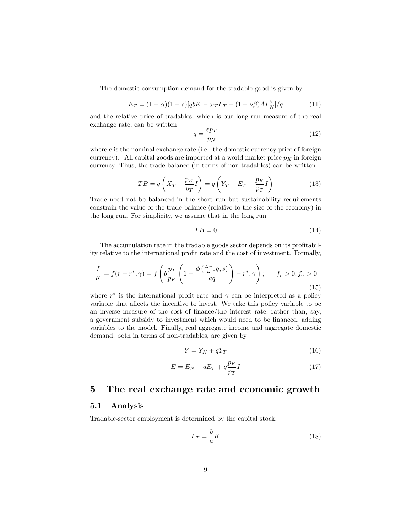The domestic consumption demand for the tradable good is given by

$$
E_T = (1 - \alpha)(1 - s)[q bK - \omega_T L_T + (1 - \nu \beta)AL_N^{\beta}] / q \tag{11}
$$

and the relative price of tradables, which is our long-run measure of the real exchange rate, can be written

$$
q = \frac{ep_T}{p_N} \tag{12}
$$

where  $e$  is the nominal exchange rate (i.e., the domestic currency price of foreign currency). All capital goods are imported at a world market price  $p<sub>K</sub>$  in foreign currency. Thus, the trade balance (in terms of non-tradables) can be written

$$
TB = q\left(X_T - \frac{p_K}{p_T}I\right) = q\left(Y_T - E_T - \frac{p_K}{p_T}I\right)
$$
\n(13)

Trade need not be balanced in the short run but sustainability requirements constrain the value of the trade balance (relative to the size of the economy) in the long run. For simplicity, we assume that in the long run

$$
TB = 0 \tag{14}
$$

The accumulation rate in the tradable goods sector depends on its profitability relative to the international profit rate and the cost of investment. Formally,

$$
\frac{I}{K} = f(r - r^*, \gamma) = f\left(b\frac{p_T}{p_K}\left(1 - \frac{\phi\left(\frac{L_T}{L}, q, s\right)}{aq}\right) - r^*, \gamma\right); \qquad f_r > 0, f_\gamma > 0
$$
\n(15)

where  $r^*$  is the international profit rate and  $\gamma$  can be interpreted as a policy variable that affects the incentive to invest. We take this policy variable to be an inverse measure of the cost of Önance/the interest rate, rather than, say, a government subsidy to investment which would need to be financed, adding variables to the model. Finally, real aggregate income and aggregate domestic demand, both in terms of non-tradables, are given by

$$
Y = Y_N + qY_T \tag{16}
$$

$$
E = E_N + qE_T + q\frac{p_K}{p_T}I\tag{17}
$$

### 5 The real exchange rate and economic growth

#### 5.1 Analysis

Tradable-sector employment is determined by the capital stock,

$$
L_T = -\frac{b}{a}K\tag{18}
$$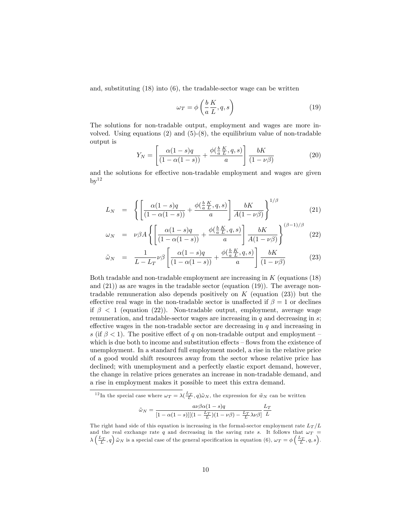and, substituting (18) into (6), the tradable-sector wage can be written

$$
\omega_T = \phi \left( \frac{b}{a} \frac{K}{L}, q, s \right) \tag{19}
$$

The solutions for non-tradable output, employment and wages are more involved. Using equations  $(2)$  and  $(5)-(8)$ , the equilibrium value of non-tradable output is

$$
Y_N = \left[ \frac{\alpha (1 - s)q}{(1 - \alpha (1 - s))} + \frac{\phi(\frac{b}{a} \frac{K}{L}, q, s)}{a} \right] \frac{bK}{(1 - \nu \beta)} \tag{20}
$$

and the solutions for effective non-tradable employment and wages are given  $bv^{12}$ 

$$
L_N = \left\{ \left[ \frac{\alpha(1-s)q}{(1-\alpha(1-s))} + \frac{\phi(\frac{b}{a}\frac{K}{L}, q, s)}{a} \right] \frac{bK}{A(1-\nu\beta)} \right\}^{1/\beta} \tag{21}
$$

$$
\omega_N = \nu \beta A \left\{ \left[ \frac{\alpha (1 - s)q}{(1 - \alpha (1 - s))} + \frac{\phi(\frac{b}{a} \frac{K}{L}, q, s)}{a} \right] \frac{bK}{A(1 - \nu \beta)} \right\}^{(\beta - 1)/\beta} (22)
$$

$$
\tilde{\omega}_N = \frac{1}{L - L_T} \nu \beta \left[ \frac{\alpha (1 - s)q}{(1 - \alpha (1 - s))} + \frac{\phi(\frac{b}{a} \frac{K}{L}, q, s)}{a} \right] \frac{bK}{(1 - \nu \beta)} \tag{23}
$$

Both tradable and non-tradable employment are increasing in K (equations (18) and (21)) as are wages in the tradable sector (equation (19)). The average nontradable remuneration also depends positively on  $K$  (equation (23)) but the effective real wage in the non-tradable sector is unaffected if  $\beta = 1$  or declines if  $\beta$  < 1 (equation (22)). Non-tradable output, employment, average wage remuneration, and tradable-sector wages are increasing in  $q$  and decreasing in  $s$ ; effective wages in the non-tradable sector are decreasing in  $q$  and increasing in s (if  $\beta$  < 1). The positive effect of q on non-tradable output and employment – which is due both to income and substitution effects  $-$  flows from the existence of unemployment. In a standard full employment model, a rise in the relative price of a good would shift resources away from the sector whose relative price has declined; with unemployment and a perfectly elastic export demand, however, the change in relative prices generates an increase in non-tradable demand, and a rise in employment makes it possible to meet this extra demand.

<sup>12</sup>In the special case where  $\omega_T = \lambda(\frac{L_T}{L}, q)\tilde{\omega}_N$ , the expression for  $\tilde{w}_N$  can be written

$$
\tilde{\omega}_N = \frac{a\nu\beta\alpha(1-s)q}{[1-\alpha(1-s)][(1-\frac{L_T}{L})(1-\nu\beta)-\frac{L_T}{L}\lambda\nu\beta]}\frac{L_T}{L}
$$

The right hand side of this equation is increasing in the formal-sector employment rate  $L_T/L$ and the real exchange rate  $q$  and decreasing in the saving rate s. It follows that  $\omega_T$  =  $\lambda\left(\frac{L_T}{L}, q\right)$   $\tilde{\omega}_N$  is a special case of the general specification in equation (6),  $\omega_T = \phi\left(\frac{L_T}{L}, q, s\right)$ .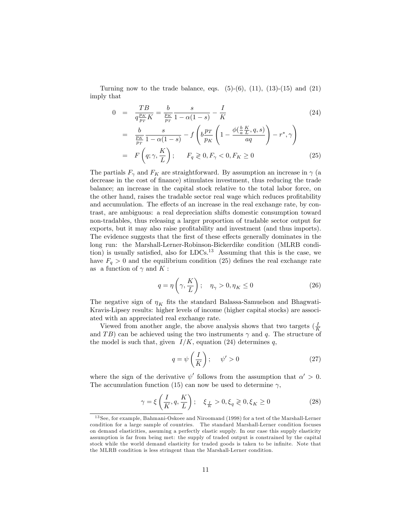Turning now to the trade balance, eqs.  $(5)-(6)$ ,  $(11)$ ,  $(13)-(15)$  and  $(21)$ imply that

$$
0 = \frac{TB}{q\frac{p_K}{p_T}K} = \frac{b}{\frac{p_K}{p_T}} \frac{s}{1 - \alpha(1 - s)} - \frac{I}{K}
$$
 (24)

$$
= \frac{b}{\frac{p_K}{p_T}} \frac{s}{1 - \alpha(1 - s)} - f\left(b\frac{p_T}{p_K}\left(1 - \frac{\phi(\frac{b}{a}\frac{K}{L}, q, s)}{aq}\right) - r^*, \gamma\right)
$$

$$
= F\left(q; \gamma, \frac{K}{L}\right); \qquad F_q \geq 0, F_\gamma < 0, F_K \geq 0 \tag{25}
$$

The partials  $F_{\gamma}$  and  $F_K$  are straightforward. By assumption an increase in  $\gamma$  (a decrease in the cost of Önance) stimulates investment, thus reducing the trade balance; an increase in the capital stock relative to the total labor force, on the other hand, raises the tradable sector real wage which reduces profitability and accumulation. The effects of an increase in the real exchange rate, by contrast, are ambiguous: a real depreciation shifts domestic consumption toward non-tradables, thus releasing a larger proportion of tradable sector output for exports, but it may also raise profitability and investment (and thus imports). The evidence suggests that the first of these effects generally dominates in the long run: the Marshall-Lerner-Robinson-Bickerdike condition (MLRB condition) is usually satisfied, also for  $LDCs$ <sup>13</sup> Assuming that this is the case, we have  $F_q > 0$  and the equilibrium condition (25) defines the real exchange rate as a function of  $\gamma$  and K:

$$
q = \eta\left(\gamma, \frac{K}{L}\right); \quad \eta_{\gamma} > 0, \eta_{K} \le 0 \tag{26}
$$

The negative sign of  $\eta_K$  fits the standard Balassa-Samuelson and Bhagwati-Kravis-Lipsey results: higher levels of income (higher capital stocks) are associated with an appreciated real exchange rate.

Viewed from another angle, the above analysis shows that two targets  $(\frac{I}{K})$ and TB) can be achieved using the two instruments  $\gamma$  and q. The structure of the model is such that, given  $I/K$ , equation (24) determines q,

$$
q = \psi\left(\frac{I}{K}\right); \quad \psi' > 0 \tag{27}
$$

where the sign of the derivative  $\psi'$  follows from the assumption that  $\alpha' > 0$ . The accumulation function (15) can now be used to determine  $\gamma$ ,

$$
\gamma = \xi \left( \frac{I}{K}, q, \frac{K}{L} \right); \quad \xi_{\frac{I}{K}} > 0, \xi_q \ge 0, \xi_K \ge 0 \tag{28}
$$

<sup>&</sup>lt;sup>13</sup> See, for example, Bahmani-Oskoee and Niroomand (1998) for a test of the Marshall-Lerner condition for a large sample of countries. The standard Marshall-Lerner condition focuses on demand elasticities, assuming a perfectly elastic supply. In our case this supply elasticity assumption is far from being met: the supply of traded output is constrained by the capital stock while the world demand elasticity for traded goods is taken to be infinite. Note that the MLRB condition is less stringent than the Marshall-Lerner condition.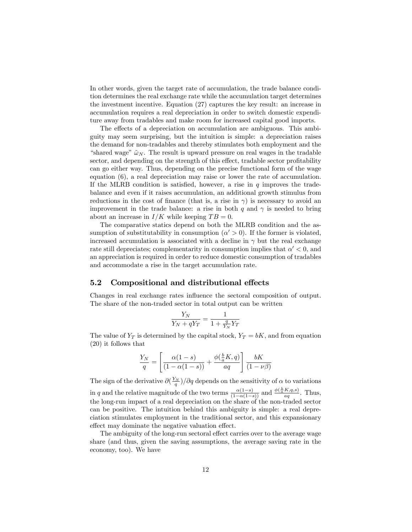In other words, given the target rate of accumulation, the trade balance condition determines the real exchange rate while the accumulation target determines the investment incentive. Equation (27) captures the key result: an increase in accumulation requires a real depreciation in order to switch domestic expenditure away from tradables and make room for increased capital good imports.

The effects of a depreciation on accumulation are ambiguous. This ambiguity may seem surprising, but the intuition is simple: a depreciation raises the demand for non-tradables and thereby stimulates both employment and the "shared wage"  $\tilde{\omega}_N$ . The result is upward pressure on real wages in the tradable sector, and depending on the strength of this effect, tradable sector profitability can go either way. Thus, depending on the precise functional form of the wage equation (6), a real depreciation may raise or lower the rate of accumulation. If the MLRB condition is satisfied, however, a rise in  $q$  improves the tradebalance and even if it raises accumulation, an additional growth stimulus from reductions in the cost of finance (that is, a rise in  $\gamma$ ) is necessary to avoid an improvement in the trade balance: a rise in both q and  $\gamma$  is needed to bring about an increase in  $I/K$  while keeping  $TB = 0$ .

The comparative statics depend on both the MLRB condition and the assumption of substitutability in consumption  $(\alpha' > 0)$ . If the former is violated, increased accumulation is associated with a decline in  $\gamma$  but the real exchange rate still depreciates; complementarity in consumption implies that  $\alpha' < 0$ , and an appreciation is required in order to reduce domestic consumption of tradables and accommodate a rise in the target accumulation rate.

#### 5.2 Compositional and distributional effects

Changes in real exchange rates influence the sectoral composition of output. The share of the non-traded sector in total output can be written

$$
\frac{Y_N}{Y_N + qY_T} = \frac{1}{1 + \frac{q}{Y_N}Y_T}
$$

The value of  $Y_T$  is determined by the capital stock,  $Y_T = bK$ , and from equation (20) it follows that

$$
\frac{Y_N}{q} = \left[\frac{\alpha(1-s)}{(1-\alpha(1-s))} + \frac{\phi(\frac{b}{a}K,q)}{aq}\right] \frac{bK}{(1-\nu\beta)}
$$

The sign of the derivative  $\partial(\frac{Y_N}{q})/\partial q$  depends on the sensitivity of  $\alpha$  to variations in q and the relative magnitude of the two terms  $\frac{\alpha(1-s)}{(1-\alpha(1-s))}$  and  $\frac{\phi(\frac{b}{a}K,q,s)}{aq}$ . Thus, the long-run impact of a real depreciation on the share of the non-traded sector can be positive. The intuition behind this ambiguity is simple: a real depreciation stimulates employment in the traditional sector, and this expansionary effect may dominate the negative valuation effect.

The ambiguity of the long-run sectoral effect carries over to the average wage share (and thus, given the saving assumptions, the average saving rate in the economy, too). We have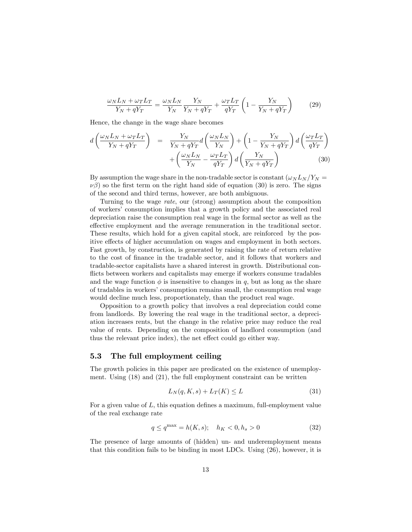$$
\frac{\omega_N L_N + \omega_T L_T}{Y_N + qY_T} = \frac{\omega_N L_N}{Y_N} \frac{Y_N}{Y_N + qY_T} + \frac{\omega_T L_T}{qY_T} \left(1 - \frac{Y_N}{Y_N + qY_T}\right) \tag{29}
$$

Hence, the change in the wage share becomes

$$
d\left(\frac{\omega_{N}L_{N} + \omega_{T}L_{T}}{Y_{N} + qY_{T}}\right) = \frac{Y_{N}}{Y_{N} + qY_{T}}d\left(\frac{\omega_{N}L_{N}}{Y_{N}}\right) + \left(1 - \frac{Y_{N}}{Y_{N} + qY_{T}}\right)d\left(\frac{\omega_{T}L_{T}}{qY_{T}}\right) + \left(\frac{\omega_{N}L_{N}}{Y_{N}} - \frac{\omega_{T}L_{T}}{qY_{T}}\right)d\left(\frac{Y_{N}}{Y_{N} + qY_{T}}\right)
$$
(30)

By assumption the wage share in the non-tradable sector is constant  $(\omega_N L_N / Y_N =$  $\nu\beta$ ) so the first term on the right hand side of equation (30) is zero. The signs of the second and third terms, however, are both ambiguous.

Turning to the wage rate, our (strong) assumption about the composition of workers' consumption implies that a growth policy and the associated real depreciation raise the consumption real wage in the formal sector as well as the effective employment and the average remuneration in the traditional sector. These results, which hold for a given capital stock, are reinforced by the positive effects of higher accumulation on wages and employment in both sectors. Fast growth, by construction, is generated by raising the rate of return relative to the cost of finance in the tradable sector, and it follows that workers and tradable-sector capitalists have a shared interest in growth. Distributional conflicts between workers and capitalists may emerge if workers consume tradables and the wage function  $\phi$  is insensitive to changes in q, but as long as the share of tradables in workers' consumption remains small, the consumption real wage would decline much less, proportionately, than the product real wage.

Opposition to a growth policy that involves a real depreciation could come from landlords. By lowering the real wage in the traditional sector, a depreciation increases rents, but the change in the relative price may reduce the real value of rents. Depending on the composition of landlord consumption (and thus the relevant price index), the net effect could go either way.

#### 5.3 The full employment ceiling

The growth policies in this paper are predicated on the existence of unemployment. Using (18) and (21), the full employment constraint can be written

$$
L_N(q, K, s) + L_T(K) \le L \tag{31}
$$

For a given value of  $L$ , this equation defines a maximum, full-employment value of the real exchange rate

$$
q \le q^{\max} = h(K, s); \quad h_K < 0, h_s > 0 \tag{32}
$$

The presence of large amounts of (hidden) un- and underemployment means that this condition fails to be binding in most LDCs. Using (26), however, it is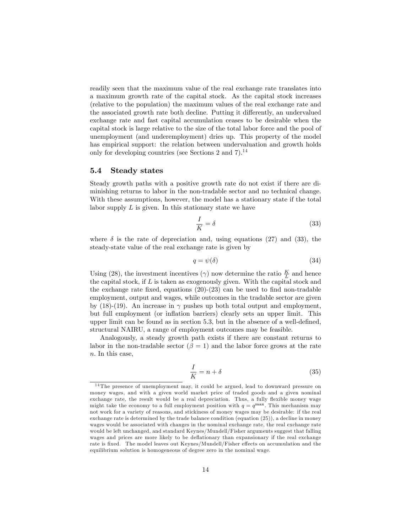readily seen that the maximum value of the real exchange rate translates into a maximum growth rate of the capital stock. As the capital stock increases (relative to the population) the maximum values of the real exchange rate and the associated growth rate both decline. Putting it differently, an undervalued exchange rate and fast capital accumulation ceases to be desirable when the capital stock is large relative to the size of the total labor force and the pool of unemployment (and underemployment) dries up. This property of the model has empirical support: the relation between undervaluation and growth holds only for developing countries (see Sections 2 and  $7$ ).<sup>14</sup>

#### 5.4 Steady states

Steady growth paths with a positive growth rate do not exist if there are diminishing returns to labor in the non-tradable sector and no technical change. With these assumptions, however, the model has a stationary state if the total labor supply  $L$  is given. In this stationary state we have

$$
\frac{I}{K} = \delta \tag{33}
$$

where  $\delta$  is the rate of depreciation and, using equations (27) and (33), the steady-state value of the real exchange rate is given by

$$
q = \psi(\delta) \tag{34}
$$

Using (28), the investment incentives ( $\gamma$ ) now determine the ratio  $\frac{K}{L}$  and hence the capital stock, if  $L$  is taken as exogenously given. With the capital stock and the exchange rate fixed, equations  $(20)-(23)$  can be used to find non-tradable employment, output and wages, while outcomes in the tradable sector are given by (18)-(19). An increase in  $\gamma$  pushes up both total output and employment, but full employment (or inflation barriers) clearly sets an upper limit. This upper limit can be found as in section  $5.3$ , but in the absence of a well-defined, structural NAIRU, a range of employment outcomes may be feasible.

Analogously, a steady growth path exists if there are constant returns to labor in the non-tradable sector  $(\beta = 1)$  and the labor force grows at the rate  $n.$  In this case,

$$
\frac{I}{K} = n + \delta \tag{35}
$$

 $14$ The presence of unemployment may, it could be argued, lead to downward pressure on money wages, and with a given world market price of traded goods and a given nominal exchange rate, the result would be a real depreciation. Thus, a fully flexible money wage might take the economy to a full employment position with  $q = q^{\text{max}}$ . This mechanism may not work for a variety of reasons, and stickiness of money wages may be desirable: if the real exchange rate is determined by the trade balance condition (equation (25)), a decline in money wages would be associated with changes in the nominal exchange rate, the real exchange rate would be left unchanged, and standard Keynes/Mundell/Fisher arguments suggest that falling wages and prices are more likely to be deflationary than expansionary if the real exchange rate is fixed. The model leaves out Keynes/Mundell/Fisher effects on accumulation and the equilibrium solution is homogeneous of degree zero in the nominal wage.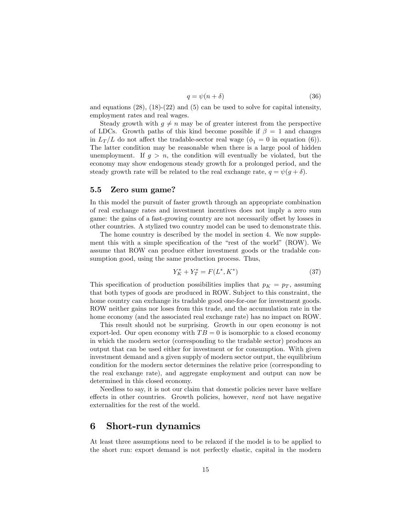$$
q = \psi(n+\delta) \tag{36}
$$

and equations  $(28)$ ,  $(18)-(22)$  and  $(5)$  can be used to solve for capital intensity, employment rates and real wages.

Steady growth with  $g \neq n$  may be of greater interest from the perspective of LDCs. Growth paths of this kind become possible if  $\beta = 1$  and changes in  $L_T/L$  do not affect the tradable-sector real wage ( $\phi_1 = 0$  in equation (6)). The latter condition may be reasonable when there is a large pool of hidden unemployment. If  $g > n$ , the condition will eventually be violated, but the economy may show endogenous steady growth for a prolonged period, and the steady growth rate will be related to the real exchange rate,  $q = \psi(g + \delta)$ .

#### 5.5 Zero sum game?

In this model the pursuit of faster growth through an appropriate combination of real exchange rates and investment incentives does not imply a zero sum game: the gains of a fast-growing country are not necessarily offset by losses in other countries. A stylized two country model can be used to demonstrate this.

The home country is described by the model in section 4. We now supplement this with a simple specification of the "rest of the world" (ROW). We assume that ROW can produce either investment goods or the tradable consumption good, using the same production process. Thus,

$$
Y_K^* + Y_T^* = F(L^*, K^*)
$$
\n(37)

This specification of production possibilities implies that  $p<sub>K</sub> = p<sub>T</sub>$ , assuming that both types of goods are produced in ROW. Subject to this constraint, the home country can exchange its tradable good one-for-one for investment goods. ROW neither gains nor loses from this trade, and the accumulation rate in the home economy (and the associated real exchange rate) has no impact on ROW.

This result should not be surprising. Growth in our open economy is not export-led. Our open economy with  $TB = 0$  is isomorphic to a closed economy in which the modern sector (corresponding to the tradable sector) produces an output that can be used either for investment or for consumption. With given investment demand and a given supply of modern sector output, the equilibrium condition for the modern sector determines the relative price (corresponding to the real exchange rate), and aggregate employment and output can now be determined in this closed economy.

Needless to say, it is not our claim that domestic policies never have welfare effects in other countries. Growth policies, however, need not have negative externalities for the rest of the world.

## 6 Short-run dynamics

At least three assumptions need to be relaxed if the model is to be applied to the short run: export demand is not perfectly elastic, capital in the modern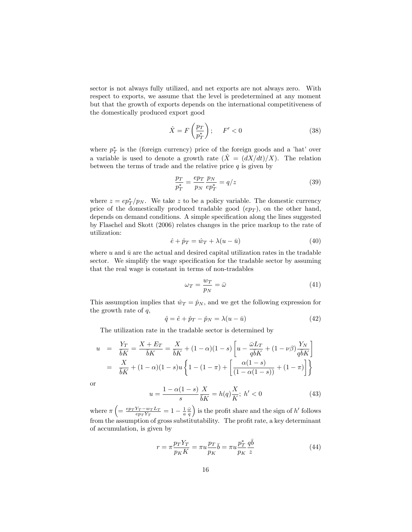sector is not always fully utilized, and net exports are not always zero. With respect to exports, we assume that the level is predetermined at any moment but that the growth of exports depends on the international competitiveness of the domestically produced export good

$$
\hat{X} = F\left(\frac{p_T}{p_T^*}\right); \quad F' < 0 \tag{38}
$$

where  $p_T^*$  is the (foreign currency) price of the foreign goods and a 'hat' over a variable is used to denote a growth rate  $(\hat{X} = (dX/dt)/X)$ . The relation between the terms of trade and the relative price  $q$  is given by

$$
\frac{p_T}{p_T^*} = \frac{ep_T}{p_N} \frac{p_N}{ep_T^*} = q/z \tag{39}
$$

where  $z = ep_T^*/p_N$ . We take z to be a policy variable. The domestic currency price of the domestically produced tradable good  $(ep_T)$ , on the other hand, depends on demand conditions. A simple specification along the lines suggested by Flaschel and Skott (2006) relates changes in the price markup to the rate of utilization:

$$
\hat{e} + \hat{p}_T = \hat{w}_T + \lambda (u - \bar{u}) \tag{40}
$$

where u and  $\bar{u}$  are the actual and desired capital utilization rates in the tradable sector. We simplify the wage specification for the tradable sector by assuming that the real wage is constant in terms of non-tradables

$$
\omega_T = \frac{w_T}{p_N} = \bar{\omega} \tag{41}
$$

This assumption implies that  $\hat{w}_T = \hat{p}_N$ , and we get the following expression for the growth rate of  $q$ ,

$$
\hat{q} = \hat{e} + \hat{p}_T - \hat{p}_N = \lambda (u - \bar{u}) \tag{42}
$$

The utilization rate in the tradable sector is determined by

$$
u = \frac{Y_T}{\overline{b}K} = \frac{X + E_T}{\overline{b}K} = \frac{X}{\overline{b}K} + (1 - \alpha)(1 - s) \left[ u - \frac{\overline{\omega}L_T}{q\overline{b}K} + (1 - \nu\beta) \frac{Y_N}{q\overline{b}K} \right]
$$
  
=  $\frac{X}{\overline{b}K} + (1 - \alpha)(1 - s)u \left\{ 1 - (1 - \pi) + \left[ \frac{\alpha(1 - s)}{(1 - \alpha(1 - s))} + (1 - \pi) \right] \right\}$ 

or

$$
u = \frac{1 - \alpha(1 - s)}{s} \frac{X}{\bar{b}K} = h(q) \frac{X}{K}; \ h' < 0 \tag{43}
$$

where  $\pi \left( = \frac{e p_T Y_T - w_T L_T}{e p_T Y_T} = 1 - \frac{1}{a} \frac{\bar{\omega}}{q} \right)$ ) is the profit share and the sign of  $h'$  follows from the assumption of gross substitutability. The profit rate, a key determinant of accumulation, is given by

$$
r = \pi \frac{p_T Y_T}{p_K K} = \pi u \frac{p_T}{p_K} \bar{b} = \pi u \frac{p_T^*}{p_K} \frac{q \bar{b}}{z}
$$
(44)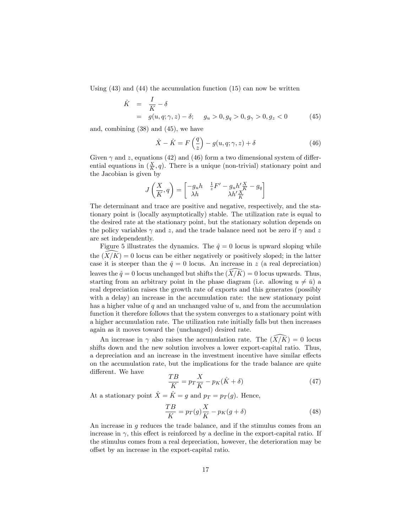Using  $(43)$  and  $(44)$  the accumulation function  $(15)$  can now be written

$$
\hat{K} = \frac{I}{K} - \delta \n= g(u, q; \gamma, z) - \delta; \quad g_u > 0, g_q > 0, g_\gamma > 0, g_z < 0
$$
\n(45)

and, combining (38) and (45), we have

$$
\hat{X} - \hat{K} = F\left(\frac{q}{z}\right) - g(u, q; \gamma, z) + \delta \tag{46}
$$

Given  $\gamma$  and z, equations (42) and (46) form a two dimensional system of differential equations in  $(\frac{X}{K}, q)$ . There is a unique (non-trivial) stationary point and the Jacobian is given by

$$
J\left(\frac{X}{K},q\right)=\begin{bmatrix} -g_uh&\frac{1}{z}F'-g_uh'\frac{X}{K}-g_q\\ \lambda h&\lambda h'\frac{X}{K} \end{bmatrix}
$$

The determinant and trace are positive and negative, respectively, and the stationary point is (locally asymptotically) stable. The utilization rate is equal to the desired rate at the stationary point, but the stationary solution depends on the policy variables  $\gamma$  and z, and the trade balance need not be zero if  $\gamma$  and z are set independently.

Figure 5 illustrates the dynamics. The  $\hat{q} = 0$  locus is upward sloping while the  $(X/K) = 0$  locus can be either negatively or positively sloped; in the latter case it is steeper than the  $\hat{q} = 0$  locus. An increase in z (a real depreciation) leaves the  $\hat{q} = 0$  locus unchanged but shifts the  $(\widehat{X}/\widehat{K}) = 0$  locus upwards. Thus, starting from an arbitrary point in the phase diagram (i.e. allowing  $u \neq \bar{u}$ ) a real depreciation raises the growth rate of exports and this generates (possibly with a delay) an increase in the accumulation rate: the new stationary point has a higher value of  $q$  and an unchanged value of  $u$ , and from the accumulation function it therefore follows that the system converges to a stationary point with a higher accumulation rate. The utilization rate initially falls but then increases again as it moves toward the (unchanged) desired rate.

An increase in  $\gamma$  also raises the accumulation rate. The  $(X/K) = 0$  locus shifts down and the new solution involves a lower export-capital ratio. Thus, a depreciation and an increase in the investment incentive have similar effects on the accumulation rate, but the implications for the trade balance are quite different. We have

$$
\frac{TB}{K} = p_T \frac{X}{K} - p_K(\hat{K} + \delta) \tag{47}
$$

At a stationary point  $\hat{X} = \hat{K} = g$  and  $p_T = p_T (g)$ . Hence,

$$
\frac{TB}{K} = p_T(g)\frac{X}{K} - p_K(g+\delta)
$$
\n(48)

An increase in g reduces the trade balance, and if the stimulus comes from an increase in  $\gamma$ , this effect is reinforced by a decline in the export-capital ratio. If the stimulus comes from a real depreciation, however, the deterioration may be offset by an increase in the export-capital ratio.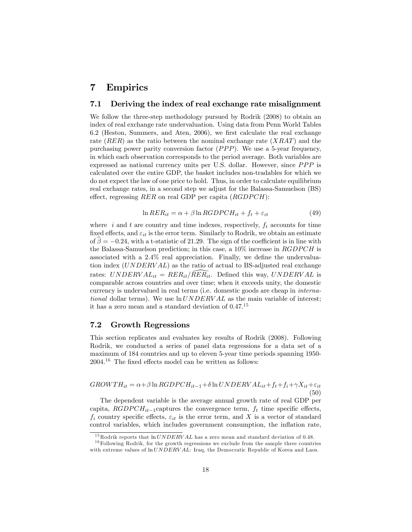## 7 Empirics

#### 7.1 Deriving the index of real exchange rate misalignment

We follow the three-step methodology pursued by Rodrik (2008) to obtain an index of real exchange rate undervaluation. Using data from Penn World Tables  $6.2$  (Heston, Summers, and Aten, 2006), we first calculate the real exchange rate  $(RER)$  as the ratio between the nominal exchange rate  $(XRAT)$  and the purchasing power parity conversion factor  $(PPP)$ . We use a 5-year frequency, in which each observation corresponds to the period average. Both variables are expressed as national currency units per U.S. dollar. However, since  $PPP$  is calculated over the entire GDP, the basket includes non-tradables for which we do not expect the law of one price to hold. Thus, in order to calculate equilibrium real exchange rates, in a second step we adjust for the Balassa-Samuelson (BS) effect, regressing RER on real GDP per capita  $(RGDPCH)$ :

$$
\ln RER_{it} = \alpha + \beta \ln RGDPCH_{it} + f_t + \varepsilon_{it} \tag{49}
$$

where i and t are country and time indexes, respectively,  $f_t$  accounts for time fixed effects, and  $\varepsilon_{it}$  is the error term. Similarly to Rodrik, we obtain an estimate of  $\beta = -0.24$ , with a t-statistic of 21.29. The sign of the coefficient is in line with the Balassa-Samuelson prediction; in this case, a  $10\%$  increase in  $RGDPCH$  is associated with a  $2.4\%$  real appreciation. Finally, we define the undervaluation index (UNDERV AL) as the ratio of actual to BS-adjusted real exchange rates:  $UNDERVAL_{it} = RER_{it}/\overline{RER_{it}}$ . Defined this way,  $UNDERVAL$  is comparable across countries and over time; when it exceeds unity, the domestic currency is undervalued in real terms (i.e. domestic goods are cheap in international dollar terms). We use  $ln UNDERVAL$  as the main variable of interest; it has a zero mean and a standard deviation of 0.47.<sup>15</sup>

#### 7.2 Growth Regressions

This section replicates and evaluates key results of Rodrik (2008). Following Rodrik, we conducted a series of panel data regressions for a data set of a maximum of 184 countries and up to eleven 5-year time periods spanning 1950-  $2004.<sup>16</sup>$  The fixed effects model can be written as follows:

$$
GROWTH_{it} = \alpha + \beta \ln RGDPCH_{it-1} + \delta \ln UNDERVAL_{it} + f_t + f_i + \gamma X_{it} + \varepsilon_{it}
$$
\n(50)

The dependent variable is the average annual growth rate of real GDP per capita,  $RGDPCH_{it-1}$ captures the convergence term,  $f_t$  time specific effects,  $f_i$  country specific effects,  $\varepsilon_{it}$  is the error term, and X is a vector of standard control variables, which includes government consumption, the inflation rate,

<sup>&</sup>lt;sup>15</sup>Rodrik reports that  $ln UNDERVAL$  has a zero mean and standard deviation of 0.48.

 $16$  Following Rodrik, for the growth regressions we exclude from the sample three countries with extreme values of  $\ln UNDERVAL$ : Iraq, the Democratic Republic of Korea and Laos.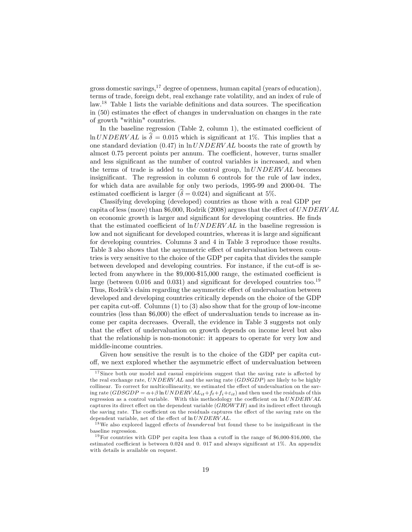gross domestic savings,  $17$  degree of openness, human capital (years of education), terms of trade, foreign debt, real exchange rate volatility, and an index of rule of law.<sup>18</sup> Table 1 lists the variable definitions and data sources. The specification in  $(50)$  estimates the effect of changes in undervaluation on changes in the rate of growth "within" countries.

In the baseline regression (Table 2, column 1), the estimated coefficient of  $\ln UNDERVAL$  is  $\hat{\delta} = 0.015$  which is significant at 1%. This implies that a one standard deviation  $(0.47)$  in  $\ln UNDERVAL$  boosts the rate of growth by almost 0.75 percent points per annum. The coefficient, however, turns smaller and less significant as the number of control variables is increased, and when the terms of trade is added to the control group,  $\ln UNDERVAL$  becomes insignificant. The regression in column 6 controls for the rule of law index, for which data are available for only two periods, 1995-99 and 2000-04. The estimated coefficient is larger ( $\delta = 0.024$ ) and significant at 5%.

Classifying developing (developed) countries as those with a real GDP per capita of less (more) than \$6,000, Rodrik (2008) argues that the effect of  $UNDERVAL$ on economic growth is larger and significant for developing countries. He finds that the estimated coefficient of  $ln UNDERVAL$  in the baseline regression is low and not significant for developed countries, whereas it is large and significant for developing countries. Columns 3 and 4 in Table 3 reproduce those results. Table 3 also shows that the asymmetric effect of undervaluation between countries is very sensitive to the choice of the GDP per capita that divides the sample between developed and developing countries. For instance, if the cut-off is selected from anywhere in the  $$9,000-$15,000$  range, the estimated coefficient is large (between 0.016 and 0.031) and significant for developed countries too.<sup>19</sup> Thus, Rodrik's claim regarding the asymmetric effect of undervaluation between developed and developing countries critically depends on the choice of the GDP per capita cut-off. Columns  $(1)$  to  $(3)$  also show that for the group of low-income countries (less than  $$6,000$ ) the effect of undervaluation tends to increase as income per capita decreases. Overall, the evidence in Table 3 suggests not only that the effect of undervaluation on growth depends on income level but also that the relationship is non-monotonic: it appears to operate for very low and middle-income countries.

Given how sensitive the result is to the choice of the GDP per capita cutoff, we next explored whether the asymmetric effect of undervaluation between

 $17$  Since both our model and casual empiricism suggest that the saving rate is affected by the real exchange rate, UNDERVAL and the saving rate (GDSGDP) are likely to be highly collinear. To correct for multicollinearity, we estimated the effect of undevaluation on the saving rate  $(GDSGDP = \alpha + \beta \ln UNDERVAL_{it} + ft + f_i + \varepsilon_{it}$  and then used the residuals of this regression as a control variable. With this methodology the coefficient on  $\ln UNDERVAL$ captures its direct effect on the dependent variable  $(GROW TH)$  and its indirect effect through the saving rate. The coefficient on the residuals captures the effect of the saving rate on the dependent variable, net of the effect of  $ln UNDERVAL$ .

 $18$  We also explored lagged effects of *lnunderval* but found these to be insignificant in the baseline regression.

<sup>&</sup>lt;sup>19</sup>For countries with GDP per capita less than a cutoff in the range of  $$6,000-$16,000$ , the estimated coefficient is between 0.024 and 0.017 and always significant at  $1\%$ . An appendix with details is available on request.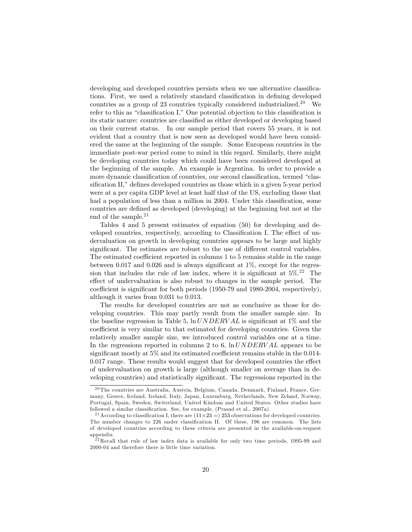developing and developed countries persists when we use alternative classifications. First, we used a relatively standard classification in defining developed countries as a group of 23 countries typically considered industrialized.<sup>20</sup> We refer to this as "classification I." One potential objection to this classification is its static nature: countries are classified as either developed or developing based on their current status. In our sample period that covers 55 years, it is not evident that a country that is now seen as developed would have been considered the same at the beginning of the sample. Some European countries in the immediate post-war period come to mind in this regard. Similarly, there might be developing countries today which could have been considered developed at the beginning of the sample. An example is Argentina. In order to provide a more dynamic classification of countries, our second classification, termed "classification II," defines developed countries as those which in a given 5-year period were at a per capita GDP level at least half that of the US, excluding those that had a population of less than a million in 2004. Under this classification, some countries are defined as developed (developing) at the beginning but not at the end of the sample.<sup>21</sup>

Tables 4 and 5 present estimates of equation (50) for developing and developed countries, respectively, according to Classification I. The effect of undervaluation on growth in developing countries appears to be large and highly significant. The estimates are robust to the use of different control variables. The estimated coefficient reported in columns 1 to 5 remains stable in the range between 0.017 and 0.026 and is always significant at  $1\%$ , except for the regression that includes the rule of law index, where it is significant at  $5\%$ .<sup>22</sup> The effect of undervaluation is also robust to changes in the sample period. The coefficient is significant for both periods  $(1950-79)$  and  $1980-2004$ , respectively), although it varies from 0.031 to 0.013.

The results for developed countries are not as conclusive as those for developing countries. This may partly result from the smaller sample size. In the baseline regression in Table 5,  $\ln UNDERVAL$  is significant at 1% and the coefficient is very similar to that estimated for developing countries. Given the relatively smaller sample size, we introduced control variables one at a time. In the regressions reported in columns 2 to 6,  $\ln UNDERVAL$  appears to be significant mostly at  $5\%$  and its estimated coefficient remains stable in the 0.014- $0.017$  range. These results would suggest that for developed countries the effect of undervaluation on growth is large (although smaller on average than in developing countries) and statistically significant. The regressions reported in the

 $^{20}\mathrm{The}$  countries are Australia, Austria, Belgium, Canada, Denmark, Finland, France, Germany, Greece, Iceland, Ireland, Italy, Japan, Luxemburg, Netherlands, New Zeland, Norway, Portugal, Spain, Sweden, Switerland, United Kindom and United States. Other studies have followed a similar classification. See, for example, (Prasad et al., 2007a).

<sup>&</sup>lt;sup>21</sup> According to classification I, there are  $(11 \times 23 = 253$  observations for developed countries. The number changes to 226 under classification II. Of these, 196 are common. The lists of developed countries according to these criteria are presented in the available-on-request appendix.

 $22$  Recall that rule of law index data is available for only two time periods, 1995-99 and 2000-04 and therefore there is little time variation.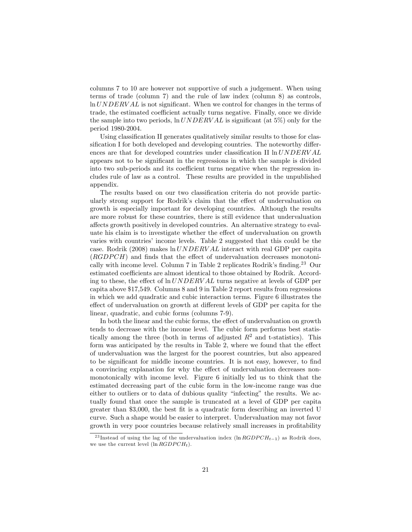columns 7 to 10 are however not supportive of such a judgement. When using terms of trade (column 7) and the rule of law index (column 8) as controls,  $\ln UNDERVAL$  is not significant. When we control for changes in the terms of trade, the estimated coefficient actually turns negative. Finally, once we divide the sample into two periods,  $\ln UNDERVAL$  is significant (at 5%) only for the period 1980-2004.

Using classification II generates qualitatively similar results to those for classification I for both developed and developing countries. The noteworthy differences are that for developed countries under classification II  $ln UNDERVAL$ appears not to be significant in the regressions in which the sample is divided into two sub-periods and its coefficient turns negative when the regression includes rule of law as a control. These results are provided in the unpublished appendix.

The results based on our two classification criteria do not provide particularly strong support for Rodrik's claim that the effect of undervaluation on growth is especially important for developing countries. Although the results are more robust for these countries, there is still evidence that undervaluation affects growth positively in developed countries. An alternative strategy to evaluate his claim is to investigate whether the effect of undervaluation on growth varies with countries' income levels. Table 2 suggested that this could be the case. Rodrik (2008) makes  $\ln UNDERVAL$  interact with real GDP per capita  $(RGDPCH)$  and finds that the effect of undervaluation decreases monotonically with income level. Column 7 in Table 2 replicates Rodrik's finding.<sup>23</sup> Our estimated coefficients are almost identical to those obtained by Rodrik. According to these, the effect of  $ln UNDERVAL$  turns negative at levels of GDP per capita above \$17,549. Columns 8 and 9 in Table 2 report results from regressions in which we add quadratic and cubic interaction terms. Figure 6 illustrates the effect of undervaluation on growth at different levels of GDP per capita for the linear, quadratic, and cubic forms (columns 7-9).

In both the linear and the cubic forms, the effect of undervaluation on growth tends to decrease with the income level. The cubic form performs best statistically among the three (both in terms of adjusted  $R^2$  and t-statistics). This form was anticipated by the results in Table 2, where we found that the effect of undervaluation was the largest for the poorest countries, but also appeared to be significant for middle income countries. It is not easy, however, to find a convincing explanation for why the effect of undervaluation decreases nonmonotonically with income level. Figure 6 initially led us to think that the estimated decreasing part of the cubic form in the low-income range was due either to outliers or to data of dubious quality "infecting" the results. We actually found that once the sample is truncated at a level of GDP per capita greater than \$3,000, the best fit is a quadratic form describing an inverted U curve. Such a shape would be easier to interpret. Undervaluation may not favor growth in very poor countries because relatively small increases in profitability

<sup>&</sup>lt;sup>23</sup> Instead of using the lag of the undervaluation index (ln  $RGDPCH_{t-1}$ ) as Rodrik does, we use the current level  $(\ln RGDPCH_t)$ .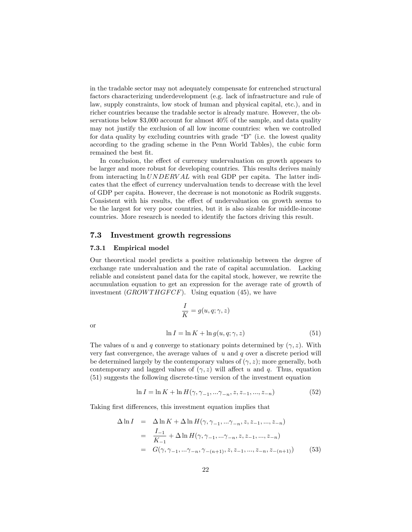in the tradable sector may not adequately compensate for entrenched structural factors characterizing underdevelopment (e.g. lack of infrastructure and rule of law, supply constraints, low stock of human and physical capital, etc.), and in richer countries because the tradable sector is already mature. However, the observations below \$3,000 account for almost 40% of the sample, and data quality may not justify the exclusion of all low income countries: when we controlled for data quality by excluding countries with grade  $\omega$ <sup>n</sup> (i.e. the lowest quality according to the grading scheme in the Penn World Tables), the cubic form remained the best fit.

In conclusion, the effect of currency undervaluation on growth appears to be larger and more robust for developing countries. This results derives mainly from interacting  $ln UNDERVAL$  with real GDP per capita. The latter indicates that the effect of currency undervaluation tends to decrease with the level of GDP per capita. However, the decrease is not monotonic as Rodrik suggests. Consistent with his results, the effect of undervaluation on growth seems to be the largest for very poor countries, but it is also sizable for middle-income countries. More research is needed to identify the factors driving this result.

#### 7.3 Investment growth regressions

#### 7.3.1 Empirical model

Our theoretical model predicts a positive relationship between the degree of exchange rate undervaluation and the rate of capital accumulation. Lacking reliable and consistent panel data for the capital stock, however, we rewrite the accumulation equation to get an expression for the average rate of growth of investment  $(GROWTHGFCF)$ . Using equation (45), we have

or

$$
\frac{I}{K} = g(u, q; \gamma, z)
$$
  

$$
\ln I = \ln K + \ln g(u, q; \gamma, z)
$$
 (51)

The values of u and q converge to stationary points determined by  $(\gamma, z)$ . With very fast convergence, the average values of  $u$  and  $q$  over a discrete period will be determined largely by the contemporary values of  $(\gamma, z)$ ; more generally, both contemporary and lagged values of  $(\gamma, z)$  will affect u and q. Thus, equation (51) suggests the following discrete-time version of the investment equation

$$
\ln I = \ln K + \ln H(\gamma, \gamma_{-1}, \dots \gamma_{-n}, z, z_{-1}, \dots, z_{-n})
$$
\n(52)

Taking first differences, this investment equation implies that

$$
\Delta \ln I = \Delta \ln K + \Delta \ln H(\gamma, \gamma_{-1}, \dots \gamma_{-n}, z, z_{-1}, \dots, z_{-n})
$$
  
= 
$$
\frac{I_{-1}}{K_{-1}} + \Delta \ln H(\gamma, \gamma_{-1}, \dots \gamma_{-n}, z, z_{-1}, \dots, z_{-n})
$$
  
= 
$$
G(\gamma, \gamma_{-1}, \dots \gamma_{-n}, \gamma_{-(n+1)}, z, z_{-1}, \dots, z_{-n}, z_{-(n+1)})
$$
(53)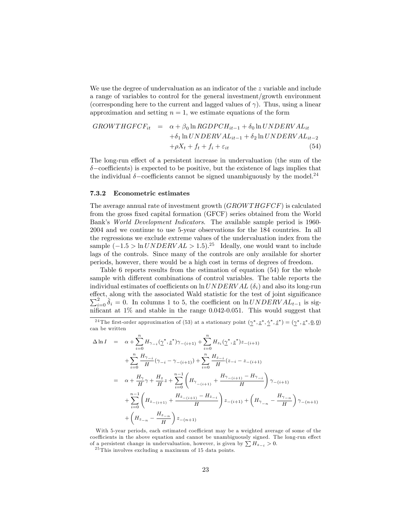We use the degree of undervaluation as an indicator of the z variable and include a range of variables to control for the general investment/growth environment (corresponding here to the current and lagged values of  $\gamma$ ). Thus, using a linear approximation and setting  $n = 1$ , we estimate equations of the form

$$
GROWTHGFCF_{it} = \alpha + \beta_0 \ln RGDPCH_{it-1} + \delta_0 \ln UNDERVAL_{it}
$$
  
+
$$
\delta_1 \ln UNDERVAL_{it-1} + \delta_2 \ln UNDERVAL_{it-2}
$$
  
+
$$
\rho X_t + f_t + f_i + \varepsilon_{it}
$$
(54)

The long-run effect of a persistent increase in undervaluation (the sum of the  $\delta$ -coefficients) is expected to be positive, but the existence of lags implies that the individual  $\delta$ -coefficients cannot be signed unambiguously by the model.<sup>24</sup>

#### 7.3.2 Econometric estimates

The average annual rate of investment growth  $(GROWTHGFCF)$  is calculated from the gross fixed capital formation (GFCF) series obtained from the World Bank's World Development Indicators. The available sample period is 1960-2004 and we continue to use 5-year observations for the 184 countries. In all the regressions we exclude extreme values of the undervaluation index from the sample  $(-1.5 > \ln UNDERVAL > 1.5).^{25}$  Ideally, one would want to include lags of the controls. Since many of the controls are only available for shorter periods, however, there would be a high cost in terms of degrees of freedom.

Table 6 reports results from the estimation of equation (54) for the whole sample with different combinations of control variables. The table reports the individual estimates of coefficients on  $\ln UNDERVAL$  ( $\delta_i$ ) and also its long-run effect, along with the associated Wald statistic for the test of joint significance  $\sum_{i=0}^{2} \hat{\delta}_i = 0$ . In columns 1 to 5, the coefficient on ln UNDERV AL<sub>t-1</sub> is significant at  $1\%$  and stable in the range 0.042-0.051. This would suggest that

<sup>24</sup>The first-order approximation of (53) at a stationary point  $(\gamma^*, \underline{z}^*, \dot{\gamma}^*, \underline{\dot{z}}^*) = (\gamma^*, \underline{z}^*, 0, 0)$ can be written

$$
\begin{array}{rcl} \Delta \ln I & = & \alpha + \sum\limits_{i=0}^{n} H_{\gamma_{-i}}(\underline{\gamma}^*, \underline{z}^*) \gamma_{-(i+1)} + \sum\limits_{i=0}^{n} H_{z_i}(\underline{\gamma}^*, \underline{z}^*) z_{-(i+1)} \\ & & + \sum\limits_{i=0}^{n} \frac{H_{\gamma_{-i}}}{H}(\gamma_{-i} - \gamma_{-(i+1)}) + \sum\limits_{i=0}^{n} \frac{H_{z_{-i}}}{H}(z_{-i} - z_{-(i+1)} \\ & & = & \alpha + \frac{H_{\gamma}}{H} \gamma + \frac{H_{z}}{H} z + \sum\limits_{i=0}^{n-1} \left( H_{\gamma_{-(i+1)}} + \frac{H_{\gamma_{-(i+1)}} - H_{\gamma_{-i}}}{H} \right) \gamma_{-(i+1)} \\ & & + \sum\limits_{i=0}^{n-1} \left( H_{z_{-(i+1)}} + \frac{H_{z_{-(i+1)}} - H_{z_{-i}}}{H} \right) z_{-(i+1)} + \left( H_{\gamma_{-n}} - \frac{H_{\gamma_{-n}}}{H} \right) \gamma_{-(n+1)} \\ & & + \left( H_{z_{-n}} - \frac{H_{z_{-n}}}{H} \right) z_{-(n+1)} \end{array}
$$

With 5-year periods, each estimated coefficient may be a weighted average of some of the coefficients in the above equation and cannot be unambiguously signed. The long-run effect of a persistent change in undervaluation, however, is given by  $\sum H_{z-i} > 0$ .

 $25$  This involves excluding a maximum of 15 data points.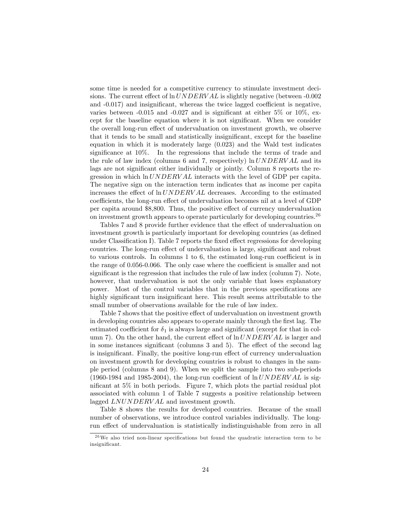some time is needed for a competitive currency to stimulate investment decisions. The current effect of  $\ln UNDERVAL$  is slightly negative (between -0.002 and  $-0.017$ ) and insignificant, whereas the twice lagged coefficient is negative, varies between  $-0.015$  and  $-0.027$  and is significant at either 5% or 10%, except for the baseline equation where it is not significant. When we consider the overall long-run effect of undervaluation on investment growth, we observe that it tends to be small and statistically insignificant, except for the baseline equation in which it is moderately large (0.023) and the Wald test indicates significance at  $10\%$ . In the regressions that include the terms of trade and the rule of law index (columns 6 and 7, respectively)  $\ln UNDERVAL$  and its lags are not significant either individually or jointly. Column 8 reports the regression in which  $ln UNDERVAL$  interacts with the level of GDP per capita. The negative sign on the interaction term indicates that as income per capita increases the effect of  $\ln UNDERVAL}$  decreases. According to the estimated coefficients, the long-run effect of undervaluation becomes nil at a level of GDP per capita around \$8,800. Thus, the positive effect of currency undervaluation on investment growth appears to operate particularly for developing countries.<sup>26</sup>

Tables 7 and 8 provide further evidence that the effect of undervaluation on investment growth is particularly important for developing countries (as defined under Classification I). Table 7 reports the fixed effect regressions for developing countries. The long-run effect of undervaluation is large, significant and robust to various controls. In columns  $1$  to  $6$ , the estimated long-run coefficient is in the range of  $0.056$ -0.066. The only case where the coefficient is smaller and not significant is the regression that includes the rule of law index (column 7). Note, however, that undervaluation is not the only variable that loses explanatory power. Most of the control variables that in the previous specifications are highly significant turn insignificant here. This result seems attributable to the small number of observations available for the rule of law index.

Table 7 shows that the positive effect of undervaluation on investment growth in developing countries also appears to operate mainly through the first lag. The estimated coefficient for  $\delta_1$  is always large and significant (except for that in column 7). On the other hand, the current effect of  $\ln UNDERVAL}$  is larger and in some instances significant (columns  $3$  and  $5$ ). The effect of the second lag is insignificant. Finally, the positive long-run effect of currency undervaluation on investment growth for developing countries is robust to changes in the sample period (columns 8 and 9). When we split the sample into two sub-periods (1960-1984 and 1985-2004), the long-run coefficient of  $\ln UNDERVAL$  is significant at  $5\%$  in both periods. Figure 7, which plots the partial residual plot associated with column 1 of Table 7 suggests a positive relationship between lagged  $LNUNDERVAL$  and investment growth.

Table 8 shows the results for developed countries. Because of the small number of observations, we introduce control variables individually. The longrun effect of undervaluation is statistically indistinguishable from zero in all

 $26$ We also tried non-linear specifications but found the quadratic interaction term to be insignificant.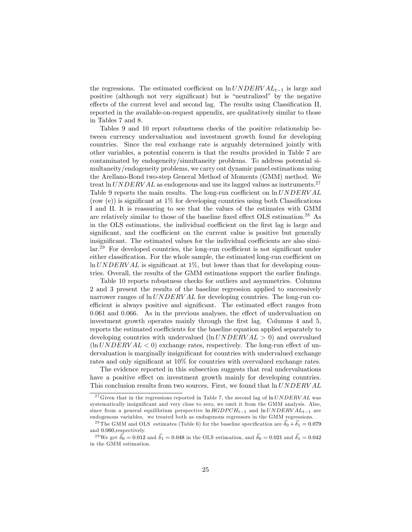the regressions. The estimated coefficient on  $\ln UNDERVAL_{t-1}$  is large and positive (although not very significant) but is "neutralized" by the negative effects of the current level and second lag. The results using Classification II, reported in the available-on-request appendix, are qualitatively similar to those in Tables 7 and 8.

Tables 9 and 10 report robustness checks of the positive relationship between currency undervaluation and investment growth found for developing countries. Since the real exchange rate is arguably determined jointly with other variables, a potential concern is that the results provided in Table 7 are contaminated by endogeneity/simultaneity problems. To address potential simultaneity/endogeneity problems, we carry out dynamic panel estimations using the Arellano-Bond two-step General Method of Moments (GMM) method. We treat ln  $UNDERVAL$  as endogenous and use its lagged values as instruments.<sup>27</sup> Table 9 reports the main results. The long-run coefficient on  $\ln UNDERVAL$  $(\text{row}(\text{e}))$  is significant at 1% for developing countries using both Classifications I and II. It is reassuring to see that the values of the estimates with GMM are relatively similar to those of the baseline fixed effect OLS estimation.<sup>28</sup> As in the OLS estimations, the individual coefficient on the first lag is large and significant, and the coefficient on the current value is positive but generally insignificant. The estimated values for the individual coefficients are also simi- $\ar{129}$  For developed countries, the long-run coefficient is not significant under either classification. For the whole sample, the estimated long-run coefficient on  $\ln UNDERVAL$  is significant at 1%, but lower than that for developing countries. Overall, the results of the GMM estimations support the earlier findings.

Table 10 reports robustness checks for outliers and asymmetries. Columns 2 and 3 present the results of the baseline regression applied to successively narrower ranges of  $\ln UNDERVAL$  for developing countries. The long-run coefficient is always positive and significant. The estimated effect ranges from  $0.061$  and  $0.066$ . As in the previous analyses, the effect of undervaluation on investment growth operates mainly through the first lag. Columns 4 and 5, reports the estimated coefficients for the baseline equation applied separately to developing countries with undervalued  $(\ln UNDERVAL > 0)$  and overvalued  $(\ln UNDERVAL < 0)$  exchange rates, respectively. The long-run effect of undervaluation is marginally insignificant for countries with undervalued exchange rates and only significant at  $10\%$  for countries with overvalued exchange rates.

The evidence reported in this subsection suggests that real undervaluations have a positive effect on investment growth mainly for developing countries. This conclusion results from two sources. First, we found that  $\ln UNDERVAL$ 

<sup>&</sup>lt;sup>27</sup> Given that in the regressions reported in Table 7, the second lag of  $\ln UNDERVAL$  was systematically insignificant and very close to zero, we omit it from the GMM analysis. Also, since from a general equilibrium perspective  $\ln RGDPCH_{t-1}$  and  $\ln UNDERVAL_{t-1}$  are endogenous variables, we treated both as endogenous regressors in the GMM regressions.

<sup>&</sup>lt;sup>28</sup> The GMM and OLS estimates (Table 6) for the baseline specification are  $\delta_0 + \delta_1 = 0.079$ and 0:060;respectively.

<sup>&</sup>lt;sup>29</sup>We get  $\hat{\delta}_0 = 0.012$  and  $\hat{\delta}_1 = 0.048$  in the OLS estimation, and  $\hat{\delta}_0 = 0.021$  and  $\hat{\delta}_1 = 0.042$ in the GMM estimation.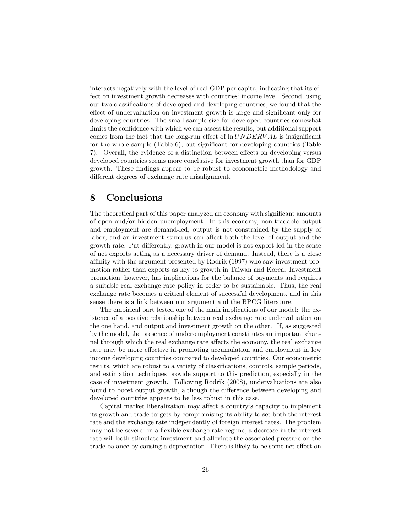interacts negatively with the level of real GDP per capita, indicating that its effect on investment growth decreases with countries' income level. Second, using our two classifications of developed and developing countries, we found that the effect of undervaluation on investment growth is large and significant only for developing countries. The small sample size for developed countries somewhat limits the confidence with which we can assess the results, but additional support comes from the fact that the long-run effect of  $\ln UNDERVAL$  is insignificant for the whole sample (Table  $6$ ), but significant for developing countries (Table 7). Overall, the evidence of a distinction between effects on developing versus developed countries seems more conclusive for investment growth than for GDP growth. These findings appear to be robust to econometric methodology and different degrees of exchange rate misalignment.

# 8 Conclusions

The theoretical part of this paper analyzed an economy with significant amounts of open and/or hidden unemployment. In this economy, non-tradable output and employment are demand-led; output is not constrained by the supply of labor, and an investment stimulus can affect both the level of output and the growth rate. Put differently, growth in our model is not export-led in the sense of net exports acting as a necessary driver of demand. Instead, there is a close a¢ nity with the argument presented by Rodrik (1997) who saw investment promotion rather than exports as key to growth in Taiwan and Korea. Investment promotion, however, has implications for the balance of payments and requires a suitable real exchange rate policy in order to be sustainable. Thus, the real exchange rate becomes a critical element of successful development, and in this sense there is a link between our argument and the BPCG literature.

The empirical part tested one of the main implications of our model: the existence of a positive relationship between real exchange rate undervaluation on the one hand, and output and investment growth on the other. If, as suggested by the model, the presence of under-employment constitutes an important channel through which the real exchange rate affects the economy, the real exchange rate may be more effective in promoting accumulation and employment in low income developing countries compared to developed countries. Our econometric results, which are robust to a variety of classifications, controls, sample periods, and estimation techniques provide support to this prediction, especially in the case of investment growth. Following Rodrik (2008), undervaluations are also found to boost output growth, although the difference between developing and developed countries appears to be less robust in this case.

Capital market liberalization may affect a country's capacity to implement its growth and trade targets by compromising its ability to set both the interest rate and the exchange rate independently of foreign interest rates. The problem may not be severe: in a áexible exchange rate regime, a decrease in the interest rate will both stimulate investment and alleviate the associated pressure on the trade balance by causing a depreciation. There is likely to be some net effect on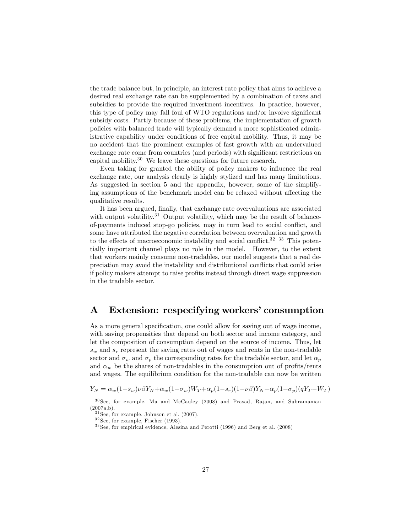the trade balance but, in principle, an interest rate policy that aims to achieve a desired real exchange rate can be supplemented by a combination of taxes and subsidies to provide the required investment incentives. In practice, however, this type of policy may fall foul of WTO regulations and/or involve significant subsidy costs. Partly because of these problems, the implementation of growth policies with balanced trade will typically demand a more sophisticated administrative capability under conditions of free capital mobility. Thus, it may be no accident that the prominent examples of fast growth with an undervalued exchange rate come from countries (and periods) with significant restrictions on capital mobility.<sup>30</sup> We leave these questions for future research.

Even taking for granted the ability of policy makers to influence the real exchange rate, our analysis clearly is highly stylized and has many limitations. As suggested in section 5 and the appendix, however, some of the simplifying assumptions of the benchmark model can be relaxed without affecting the qualitative results.

It has been argued, finally, that exchange rate overvaluations are associated with output volatility.<sup>31</sup> Output volatility, which may be the result of balanceof-payments induced stop-go policies, may in turn lead to social conáict, and some have attributed the negative correlation between overvaluation and growth to the effects of macroeconomic instability and social conflict.<sup>32 33</sup> This potentially important channel plays no role in the model. However, to the extent that workers mainly consume non-tradables, our model suggests that a real depreciation may avoid the instability and distributional conflicts that could arise if policy makers attempt to raise profits instead through direct wage suppression in the tradable sector.

# A Extension: respecifying workers' consumption

As a more general specification, one could allow for saving out of wage income, with saving propensities that depend on both sector and income category, and let the composition of consumption depend on the source of income. Thus, let  $s_w$  and  $s_r$  represent the saving rates out of wages and rents in the non-tradable sector and  $\sigma_w$  and  $\sigma_p$  the corresponding rates for the tradable sector, and let  $\alpha_p$ and  $\alpha_w$  be the shares of non-tradables in the consumption out of profits/rents and wages. The equilibrium condition for the non-tradable can now be written

$$
Y_N = \alpha_w (1 - s_w) \nu \beta Y_N + \alpha_w (1 - \sigma_w) W_T + \alpha_p (1 - s_r) (1 - \nu \beta) Y_N + \alpha_p (1 - \sigma_p) (q Y_T - W_T)
$$

 $30$  See, for example, Ma and McCauley (2008) and Prasad, Rajan, and Subramanian  $(2007a,b).$ 

 $31$  See, for example, Johnson et al. (2007).

 $32$  See, for example, Fischer (1993).

<sup>3 3</sup> See, for empirical evidence, Alesina and Perotti (1996) and Berg et al. (2008)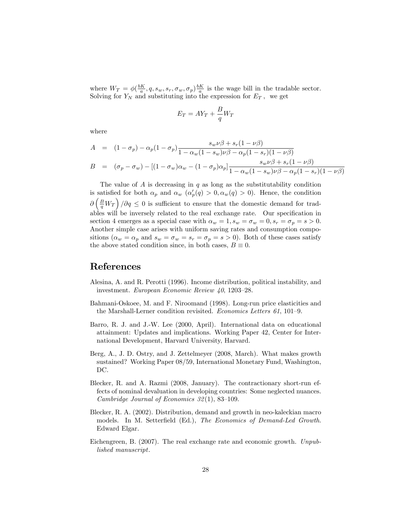where  $W_T = \phi(\frac{bK}{a}, q, s_w, s_r, \sigma_w, \sigma_p) \frac{bK}{a}$  is the wage bill in the tradable sector. Solving for  $Y_N$  and substituting into the expression for  $E_T$ , we get

$$
E_T = A Y_T + \frac{B}{q} W_T
$$

where

$$
A = (1 - \sigma_p) - \alpha_p (1 - \sigma_p) \frac{s_w \nu \beta + s_r (1 - \nu \beta)}{1 - \alpha_w (1 - s_w) \nu \beta - \alpha_p (1 - s_r) (1 - \nu \beta)}
$$
  
\n
$$
B = (\sigma_p - \sigma_w) - [(1 - \sigma_w) \alpha_w - (1 - \sigma_p) \alpha_p] \frac{s_w \nu \beta + s_r (1 - \nu \beta)}{1 - \alpha_w (1 - s_w) \nu \beta - \alpha_p (1 - s_r) (1 - \nu \beta)}
$$

The value of  $A$  is decreasing in  $q$  as long as the substitutability condition is satisfied for both  $\alpha_p$  and  $\alpha_w$  ( $\alpha_p'(q) > 0, \alpha_w(q) > 0$ ). Hence, the condition  $\partial \left(\frac{B}{q}W_T\right)/\partial q \leq 0$  is sufficient to ensure that the domestic demand for tradables will be inversely related to the real exchange rate. Our specification in section 4 emerges as a special case with  $\alpha_w = 1$ ,  $s_w = \sigma_w = 0$ ,  $s_r = \sigma_p = s > 0$ . Another simple case arises with uniform saving rates and consumption compositions  $(\alpha_w = \alpha_p$  and  $s_w = \sigma_w = s_r = \sigma_p = s > 0)$ . Both of these cases satisfy the above stated condition since, in both cases,  $B \equiv 0$ .

### References

- Alesina, A. and R. Perotti (1996). Income distribution, political instability, and investment. European Economic Review  $40, 1203-28$ .
- Bahmani-Oskoee, M. and F. Niroomand (1998). Long-run price elasticities and the Marshall-Lerner condition revisited. Economics Letters  $61$ ,  $101-9$ .
- Barro, R. J. and J.-W. Lee (2000, April). International data on educational attainment: Updates and implications. Working Paper 42, Center for International Development, Harvard University, Harvard.
- Berg, A., J. D. Ostry, and J. Zettelmeyer (2008, March). What makes growth sustained? Working Paper 08/59, International Monetary Fund, Washington, DC.
- Blecker, R. and A. Razmi (2008, January). The contractionary short-run effects of nominal devaluation in developing countries: Some neglected nuances. Cambridge Journal of Economics  $32(1)$ , 83-109.
- Blecker, R. A. (2002). Distribution, demand and growth in neo-kaleckian macro models. In M. Setterfield (Ed.), The Economics of Demand-Led Growth. Edward Elgar.
- Eichengreen, B. (2007). The real exchange rate and economic growth. Unpublished manuscript.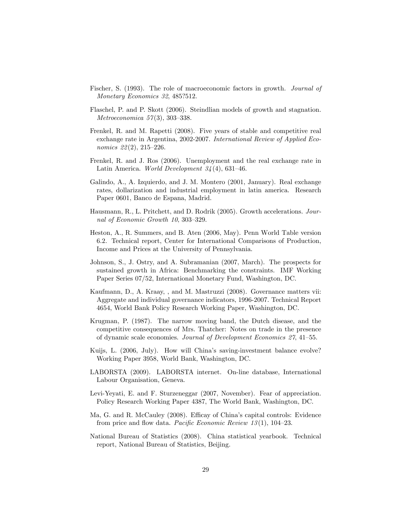- Fischer, S. (1993). The role of macroeconomic factors in growth. Journal of Monetary Economics 32, 485?512.
- Flaschel, P. and P. Skott (2006). Steindlian models of growth and stagnation. Metroeconomica  $57(3)$ , 303-338.
- Frenkel, R. and M. Rapetti (2008). Five years of stable and competitive real exchange rate in Argentina, 2002-2007. International Review of Applied Economics  $22(2)$ ,  $215-226$ .
- Frenkel, R. and J. Ros (2006). Unemployment and the real exchange rate in Latin America. World Development  $34(4)$ , 631–46.
- Galindo, A., A. Izquierdo, and J. M. Montero (2001, January). Real exchange rates, dollarization and industrial employment in latin america. Research Paper 0601, Banco de Espana, Madrid.
- Hausmann, R., L. Pritchett, and D. Rodrik (2005). Growth accelerations. Journal of Economic Growth  $10, 303-329$ .
- Heston, A., R. Summers, and B. Aten (2006, May). Penn World Table version 6.2. Technical report, Center for International Comparisons of Production, Income and Prices at the University of Pennsylvania.
- Johnson, S., J. Ostry, and A. Subramanian (2007, March). The prospects for sustained growth in Africa: Benchmarking the constraints. IMF Working Paper Series 07/52, International Monetary Fund, Washington, DC.
- Kaufmann, D., A. Kraay, , and M. Mastruzzi (2008). Governance matters vii: Aggregate and individual governance indicators, 1996-2007. Technical Report 4654, World Bank Policy Research Working Paper, Washington, DC.
- Krugman, P. (1987). The narrow moving band, the Dutch disease, and the competitive consequences of Mrs. Thatcher: Notes on trade in the presence of dynamic scale economies. Journal of Development Economics  $27$ ,  $41-55$ .
- Kuijs, L. (2006, July). How will China's saving-investment balance evolve? Working Paper 3958, World Bank, Washington, DC.
- LABORSTA (2009). LABORSTA internet. On-line database, International Labour Organisation, Geneva.
- Levi-Yeyati, E. and F. Sturzeneggar (2007, November). Fear of appreciation. Policy Research Working Paper 4387, The World Bank, Washington, DC.
- Ma, G. and R. McCauley (2008). Efficay of China's capital controls: Evidence from price and flow data. *Pacific Economic Review 13*(1), 104–23.
- National Bureau of Statistics (2008). China statistical yearbook. Technical report, National Bureau of Statistics, Beijing.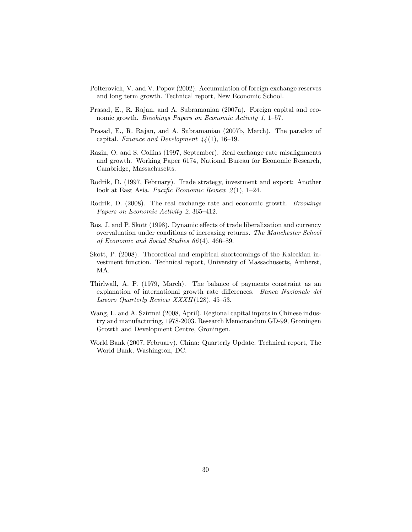- Polterovich, V. and V. Popov (2002). Accumulation of foreign exchange reserves and long term growth. Technical report, New Economic School.
- Prasad, E., R. Rajan, and A. Subramanian (2007a). Foreign capital and economic growth. Brookings Papers on Economic Activity 1, 1–57.
- Prasad, E., R. Rajan, and A. Subramanian (2007b, March). The paradox of capital. Finance and Development  $44(1)$ , 16–19.
- Razin, O. and S. Collins (1997, September). Real exchange rate misalignments and growth. Working Paper 6174, National Bureau for Economic Research, Cambridge, Massachusetts.
- Rodrik, D. (1997, February). Trade strategy, investment and export: Another look at East Asia. Pacific Economic Review  $2(1)$ , 1–24.
- Rodrik, D. (2008). The real exchange rate and economic growth. Brookings Papers on Economic Activity  $2, 365-412$ .
- Ros, J. and P. Skott (1998). Dynamic effects of trade liberalization and currency overvaluation under conditions of increasing returns. The Manchester School of Economic and Social Studies  $66(4)$ , 466–89.
- Skott, P. (2008). Theoretical and empirical shortcomings of the Kaleckian investment function. Technical report, University of Massachusetts, Amherst, MA.
- Thirlwall, A. P. (1979, March). The balance of payments constraint as an explanation of international growth rate differences. Banca Nazionale del Lavoro Quarterly Review XXXII(128), 45–53.
- Wang, L. and A. Szirmai (2008, April). Regional capital inputs in Chinese industry and manufacturing, 1978-2003. Research Memorandum GD-99, Groningen Growth and Development Centre, Groningen.
- World Bank (2007, February). China: Quarterly Update. Technical report, The World Bank, Washington, DC.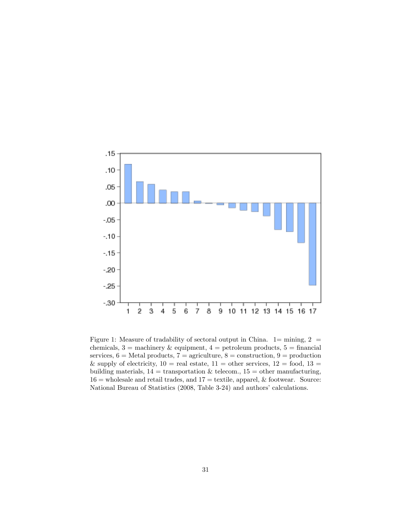

Figure 1: Measure of tradability of sectoral output in China.  $1=$  mining,  $2=$ chemicals,  $3 =$  machinery & equipment,  $4 =$  petroleum products,  $5 =$  financial services,  $6 =$  Metal products,  $7 =$  agriculture,  $8 =$  construction,  $9 =$  production & supply of electricity,  $10 = \text{real}$  estate,  $11 = \text{other}$  services,  $12 = \text{food}$ ,  $13 =$ building materials,  $14 =$  transportation & telecom.,  $15 =$  other manufacturing,  $16$  = wholesale and retail trades, and  $17$  = textile, apparel, & footwear. Source: National Bureau of Statistics (2008, Table 3-24) and authors' calculations.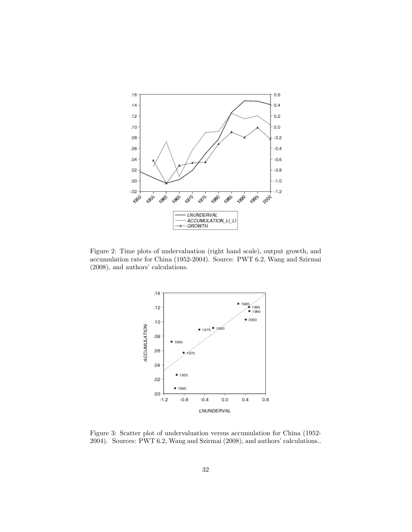

Figure 2: Time plots of undervaluation (right hand scale), output growth, and accumulation rate for China (1952-2004). Source: PWT 6.2, Wang and Szirmai  $(2008)$ , and authors' calculations.



Figure 3: Scatter plot of undervaluation versus accumulation for China (1952- 2004). Sources: PWT 6.2, Wang and Szirmai (2008), and authors' calculations..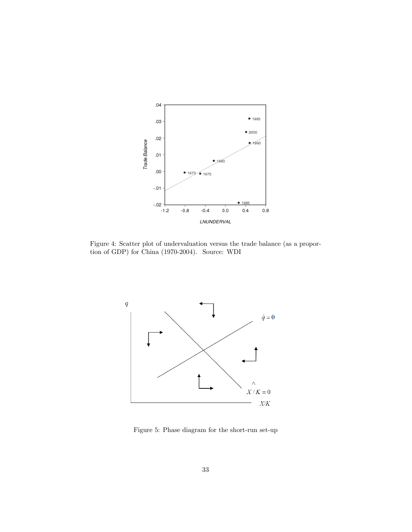

Figure 4: Scatter plot of undervaluation versus the trade balance (as a proportion of GDP) for China (1970-2004). Source: WDI



Figure 5: Phase diagram for the short-run set-up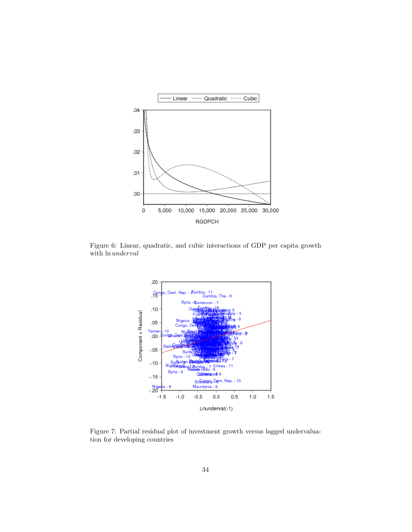

Figure 6: Linear, quadratic, and cubic interactions of GDP per capita growth with ln underval



Figure 7: Partial residual plot of investment growth versus lagged undervaluation for developing countries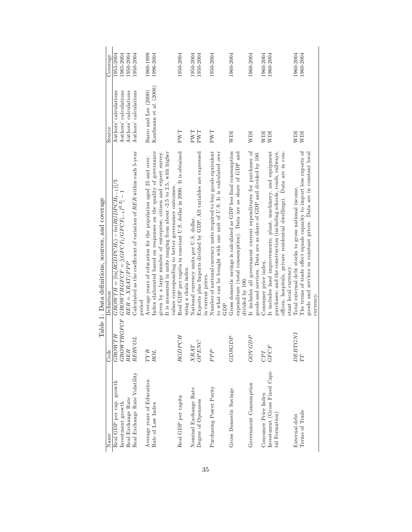|                               |                                              | Table 1: Data definitions, sources, and coverage                                                                                        |                                     |           |
|-------------------------------|----------------------------------------------|-----------------------------------------------------------------------------------------------------------------------------------------|-------------------------------------|-----------|
| Name                          | Code                                         | Definition                                                                                                                              | Source                              | Coverage  |
| Real GDP per cap. growth      | GROWTH                                       | $GROWTH = [ln(RGDPCH_t) - ln(RGDPCH_{t-1})]/5$                                                                                          | Authors' calculations               | 1955-2004 |
| Investment growth             | <b>GROWTHGFCF</b>                            | ${\cal GROWTHGFCF} = [({\cal GFCF}_{t}/{\cal GFCF}_{t-1})^{0.2}] -$                                                                     | Authors' calculations               | 1965-2004 |
| Real Exchange Rate            | RER                                          | $RER = XRAT/PPP$                                                                                                                        | Authors' calculations               | 1950-2004 |
| Real Exchange Rate Volatility | RERVOL                                       | Calculated as the coefficient of variation of RER within each 5-year                                                                    | Authors' calculations               | 1950-2004 |
| Average years of Education    | TYR                                          | Average years of education for the population aged 25 and over.<br>period                                                               | Barro and Lee (2000)                | 1960-1999 |
| Rule of Law Index             | <b>ROL</b>                                   | Index elaborated based on responses on the quality of governance                                                                        | Kaufmann et al. (2008)              | 1996-2004 |
|                               |                                              | given by a large number of enterprise, citizen and expert survey.                                                                       |                                     |           |
|                               |                                              | It is measured in units ranging from about -2.5 to 2.5, with higher                                                                     |                                     |           |
|                               |                                              | values corresponding to better governance outcomes                                                                                      |                                     |           |
| Real GDP per capita           | <b>RGDPCH</b>                                | Real GDP per capita in constant U.S. dollar in 2000. It is obtained                                                                     | $\mathcal{F}\mathcal{W}\mathcal{T}$ | 1950-2004 |
|                               |                                              | using a chain index.                                                                                                                    |                                     |           |
| Nominal Exchange Rate         | $\begin{array}{c} XRAT \\ OPENC \end{array}$ | National currency units per U.S. dollar.                                                                                                | PWT                                 | 1950-2004 |
| Degree of Openness            |                                              | Exports plus Imports divided by GDP. All variables are expressed                                                                        | PWT                                 | 1950-2004 |
|                               |                                              | in current prices.                                                                                                                      |                                     |           |
| Purchasing Power Parity       | PPP                                          | Number of national currency units required to buy goods equivalent<br>to what can be bought with one unit of U.S. It is calculated over | PWT                                 | 1950-2004 |
|                               |                                              | GDP                                                                                                                                     |                                     |           |
| Gross Domestic Savings        | GDSGDP                                       | Gross domestic savings is calculated as GDP less final consumption                                                                      | IdM                                 | 1960-2004 |
|                               |                                              | expenditure (total consumption). Data are as share of GDP and                                                                           |                                     |           |
|                               |                                              | divided by 100.                                                                                                                         |                                     |           |
| Government Consumption        | <b>GOVGDP</b>                                | It includes all government current expenditures for purchases of                                                                        | NDI                                 | 1960-2004 |
|                               |                                              | goods and services. Data are as share of GDP and divided by 100.                                                                        |                                     |           |
| Consumer Price Index          | CPI                                          | Consumer price index.                                                                                                                   | IIM                                 | 1960-2004 |
| Investment (Gross Fixed Capi- | <b>GFCF</b>                                  | It includes land improvements; plant, machinery, and equipment                                                                          | <b>NDI</b>                          | 1960-2004 |
| tal Formation)                |                                              | purchases; and the construction (including schools, roads, railways,                                                                    |                                     |           |
|                               |                                              | offices, hospitals, private residential dwellings). Data are in con-                                                                    |                                     |           |
|                               |                                              | stant local currency.                                                                                                                   |                                     |           |
| External debt                 | DEBTGNI                                      | Total external debt stocks to gross national income.                                                                                    | IdM                                 | 1960-2004 |
| Terms of Trade                | TT                                           | The terms of trade effect equals capacity to import less exports of                                                                     | ICM                                 | 1960-2004 |
|                               |                                              | goods and services in constant prices. Data are in constant local                                                                       |                                     |           |
|                               |                                              | currency.                                                                                                                               |                                     |           |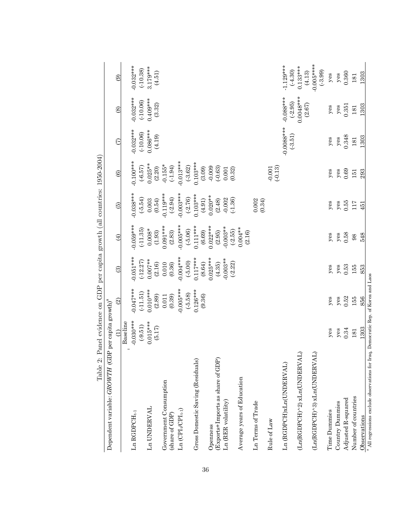| Dependent variable: GROWTH (GDP per capita growth) <sup>ª</sup>                             |             |                          |             |             |                                              |                        |              |               |                          |
|---------------------------------------------------------------------------------------------|-------------|--------------------------|-------------|-------------|----------------------------------------------|------------------------|--------------|---------------|--------------------------|
|                                                                                             | Ĝ           | $\widehat{\mathfrak{D}}$ | 3           | $\bigoplus$ | $\widehat{\omega}$                           | $\widehat{\mathbf{e}}$ | E            | $\circledast$ | ම                        |
|                                                                                             | Baseline    |                          |             |             |                                              |                        |              |               |                          |
| $Ln$ $RGDPCH_{t-1}$                                                                         | $-0.030***$ | $0.047***$               | $0.051***$  | $0.059***$  | $0.038***$                                   | $0.100***$             | $0.032***$   | $0.032***$    | $0.032***$               |
|                                                                                             | $(-9.51)$   | $(-11.51)$               | $(-12.27)$  | (.11.35)    | $(-5.54)$                                    | $(-6.57)$              | (.10.06)     | (.10.06)      |                          |
| Ln UNDERVAL                                                                                 | $0.015***$  | $0.010***$               | $0.007**$   | $0.008*$    | 0.003                                        | $0.025**$              | $0.086***$   | $0.409***$    | $(-10.38)$<br>3.179***   |
|                                                                                             | (5.17)      | $(2.89)$                 | (2.16)      | (1.93)      | (0.54)                                       | (2.20)                 | (4.19)       | (3.32)        | (4.51)                   |
| Government Consumption                                                                      |             | 0.011                    | 0.010       | $0.091***$  | $-0.119***$                                  | $-0.155*$              |              |               |                          |
| (share of GDP)                                                                              |             | (0.39)                   | (0.36)      | (2.83)      | $(-2.94)$                                    | $(-1.94)$              |              |               |                          |
| $\text{Ln}(\text{CPI}_{t} / \text{CPI}_{t \text{-} 1})$                                     |             | $-0.005***$              | $-0.004***$ | $-0.005***$ | $-0.003***$                                  | $-0.013***$            |              |               |                          |
|                                                                                             |             | $(-5.58)$                | $(-5.00)$   | $(-5.06)$   | $(-2.76)$                                    | $(-3.62)$              |              |               |                          |
| Gross Domestic Saving (Residuals)                                                           |             | $0.126***$               | $0.117***$  | $0.111***$  | $0.103***$                                   | $0.103***$             |              |               |                          |
|                                                                                             |             | (9.36)                   | (8.64)      | (6.69)      | (4.91)                                       | (3.09)                 |              |               |                          |
| Openness                                                                                    |             |                          | $0.025***$  | $0.022***$  | $0.020**$                                    | $-0.009$               |              |               |                          |
| É<br>(Exports+Imports as share of GD                                                        |             |                          | (4.35)      | (2.95)      | $(2.48)$<br>$-0.002$<br>$(-1.36)$            | $(-0.63)$              |              |               |                          |
| Ln (RER volatility)                                                                         |             |                          | $-0.003**$  | $-0.003**$  |                                              | 0.001                  |              |               |                          |
|                                                                                             |             |                          | $(-2.22)$   | $(-2.55)$   |                                              | (0.32)                 |              |               |                          |
| Average years of Education                                                                  |             |                          |             | $0.004**$   |                                              |                        |              |               |                          |
|                                                                                             |             |                          |             | (2.16)      |                                              |                        |              |               |                          |
| Ln Terms of Trade                                                                           |             |                          |             |             | $\begin{array}{c} 0.002 \\ 0.34 \end{array}$ |                        |              |               |                          |
|                                                                                             |             |                          |             |             |                                              |                        |              |               |                          |
| Rule of Law                                                                                 |             |                          |             |             |                                              | $(-0.13)$<br>$-0.001$  |              |               |                          |
| Ln (RGDPCH)xLn(UNDERVAL)                                                                    |             |                          |             |             |                                              |                        | $-0.0088***$ | $-0.088***$   | $1.129***$               |
|                                                                                             |             |                          |             |             |                                              |                        | $(-3.51)$    | $(-2.95)$     | $(-4.30)$                |
| (TV <sub>1</sub><br>$(Ln(RGDECH)^2)$ x $Ln(UNDERV)$                                         |             |                          |             |             |                                              |                        |              | $0.0048***$   | $0.133***$               |
|                                                                                             |             |                          |             |             |                                              |                        |              | (2.67)        | (4.13)                   |
| (LA)<br>$(Ln(RGDPCH)^3)$ x $Ln(UNDERV)$                                                     |             |                          |             |             |                                              |                        |              |               | $-0.005***$<br>$(-3.99)$ |
| Time Dummies                                                                                | yes         | yes                      | $y$ es      | $y$ es      | $y$ es                                       | yes                    | $y$ es       | $y$ es        | $y$ es                   |
| Country Dummies                                                                             | $y$ es      | $y$ es                   | $y$ es      | $y$ es      | $y$ es                                       | $y$ es                 | $y$ es       | $y$ es        | $y$ es                   |
| Adjusted R-squared                                                                          | 0.34        | 0.52                     | 0.53        | 0.58        | 0.55                                         | 0.69                   | 0.348        | 0.351         | 0.360                    |
| Number of countries                                                                         | 181         | 155                      | 155         | 98          | 117                                          | 151                    | 181          | 181           | 181                      |
| Observations                                                                                | 1303        | 856                      | 853         | 548         | 451                                          | 293                    | 1303         | 1303          | 1303                     |
| $^{\rm a}$ All regressions exclude observations for Iraq, Democratic Rep. of Korea and Laos |             |                          |             |             |                                              |                        |              |               |                          |

Table 2: Panel evidence on GDP per capita growth (all countries:  $1950-2004$ ) Table 2: Panel evidence on GDP per capita growth (all countries: 1950-2004)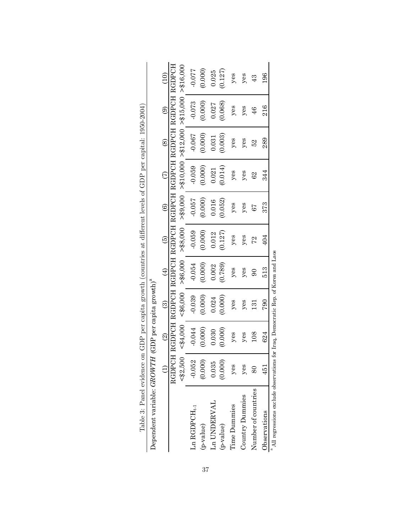| on GDP per capita growth (countries at different levels of GDP per capital: 1950-2004)<br>Table 3: Panel evidence | Dependent variable: GROWTH (GDP per capita growth) <sup>ª</sup> | $\frac{1}{2}$<br>$\circledS$<br>$\circledast$<br>$\tilde{c}$<br>$\ddot{\textcirc}$<br>$\overline{6}$<br>$\oplus$<br>$\widehat{\odot}$<br>$\widehat{\mathfrak{D}}$<br>$\bigoplus$ | RGDPCH RGDPCH RGDPCH RGDPCH RGDPCH RGDPCH RGDPCH RGDPCH RGDPCH | > \$8,000<br>> \$6,000<br>< \$6,000<br>< \$4,000<br>< \$2,500 | <b>0.077</b><br>$-0.073$<br>-0.067<br>$-0.059$<br>$-0.057$<br>$-0.059$<br>$-0.054$<br>$-0.039$<br>$-0.044$<br>$-0.052$ | (0.000)<br>(0.000)<br>(0.000)<br>(0.000)<br>0.000<br>(0.000)<br>(0.000)<br>(0.000)<br>(0.000)<br>(0.000) | 0.025<br>0.027<br>0.031<br>0.021<br>0.016<br>0.012<br>0.002<br>0.024<br>0.030<br>0.035 | (0.127)<br>(0.068)<br>(0.003)<br>(0.014)<br>(0.052)<br>(0.127)<br>(0.789)<br>(0.000)<br>(0.000)<br>(0.000) | $y$ es<br>$y$ es<br>$y$ es<br>$y$ es<br>yes<br>yes<br>yes<br>$y$ es<br>yes<br>yes | $y$ es<br>yes<br>$y$ es<br>yes<br>yes<br>$y$ es<br>$y$ es<br>$y$ es<br>$y$ es<br>yes | 43<br>$\frac{4}{6}$<br>52<br>$^{62}$<br>79<br>72<br>$\overline{6}$<br>131<br>108<br>$\overline{\infty}$ | 96<br>216<br>289<br>344<br>373<br>404<br>513<br>790<br>624<br>451 |
|-------------------------------------------------------------------------------------------------------------------|-----------------------------------------------------------------|----------------------------------------------------------------------------------------------------------------------------------------------------------------------------------|----------------------------------------------------------------|---------------------------------------------------------------|------------------------------------------------------------------------------------------------------------------------|----------------------------------------------------------------------------------------------------------|----------------------------------------------------------------------------------------|------------------------------------------------------------------------------------------------------------|-----------------------------------------------------------------------------------|--------------------------------------------------------------------------------------|---------------------------------------------------------------------------------------------------------|-------------------------------------------------------------------|
|                                                                                                                   |                                                                 |                                                                                                                                                                                  |                                                                |                                                               | $\text{Ln}\,\text{RGDPCH}_{\text{t-1}}$                                                                                | (p-value)                                                                                                | Ln UNDERVAL                                                                            | (p-value)                                                                                                  | <b>Time Dummies</b>                                                               | Country Dummies                                                                      | Number of countries                                                                                     | Observations                                                      |

| ١<br>j<br>Ï                                                                              |
|------------------------------------------------------------------------------------------|
| :<br>;                                                                                   |
| i                                                                                        |
| 5<br>l<br>i                                                                              |
| j<br>l<br>í<br>ļ                                                                         |
| ֪ׅ֚֡֬֝֬֝֬֝֬֝֬֝֬֝֬֝<br>l<br>j<br>I<br>l                                                   |
| i                                                                                        |
| l<br>١<br>ł<br>֘֒<br>֖֖֖֖֖֖֖֧֖֖֧֪֪֪֪֪֪֪֪֪֪֪֧֚֚֚֚֚֚֚֚֚֚֚֚֚֚֚֚֚֚֚֚֚֚֚֚֚֚֚֚֚֚֚֚֬֝֓֞֝֓֞<br>į |
| í<br>֖֖֖֖֖֖֪ׅ֖֪ׅ֪ׅ֖֪ׅ֪ׅ֪ׅ֪֪ׅ֖֚֚֚֚֚֚֚֚֚֚֚֚֚֚֚֚֚֬֝֬֓֞֬<br>į                                |
| j<br>l<br>l<br>í<br>l<br>١<br>l                                                          |
| i<br>i                                                                                   |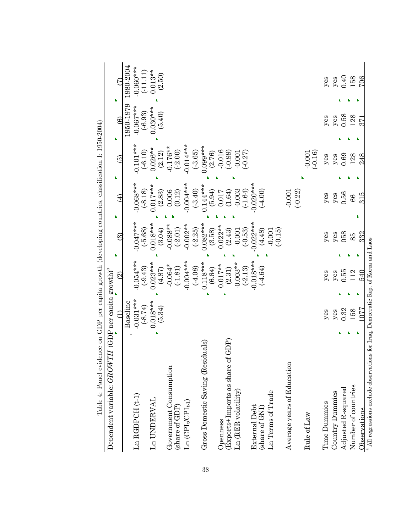| Table 4: Panel evidence on GDP per capita growth (developing countries, classification I: 1950-2004) |             |                          |                         |                          |                          |             |                |
|------------------------------------------------------------------------------------------------------|-------------|--------------------------|-------------------------|--------------------------|--------------------------|-------------|----------------|
| Dependent variable: GROWTH (GDP per capita growth) <sup>ª</sup>                                      |             |                          |                         |                          |                          |             |                |
|                                                                                                      |             | $\widehat{\mathfrak{Q}}$ | $\widehat{\odot}$       |                          | $\widehat{\mathfrak{G}}$ | ଡି          | Ę              |
|                                                                                                      | Baseline    |                          |                         |                          |                          | 1950-1979   | 1980-2004      |
| $Ln$ RGDPCH $(t-1)$                                                                                  | $-0.031***$ | $-0.054***$              | $-0.047***$             | $-0.068***$              | $0.101***$               | $-0.067***$ | $-0.060**$     |
|                                                                                                      | $(-8.74)$   | $(-9.43)$                | $(-5.68)$               | $(-8.18)$                | $(-6.10)$                | $(-6.93)$   | (11.11)        |
| Ln UNDERVAL                                                                                          | $0.018***$  | $0.023***$               | $0.018***$              | $0.017***$               | $0.026**$                | $0.030***$  | $0.013**$      |
|                                                                                                      | (5.34)      | (4.87)                   | (3.04)                  | (2.83)                   | (2.12)                   | (5.40)      | (2.50)         |
| Government Consumption                                                                               |             | $-0.064*$                | $-0.088**$              | 0.006                    | $-0.176**$               |             |                |
| (share of GDP)                                                                                       |             | (.1.81)                  | (.2.01)                 | (0.12)                   | $(-2.00)$                |             |                |
| $Ln (CPIt/CPIt-1)$                                                                                   |             | $-0.004***$<br>$(-4.08)$ | $-0.002**$<br>$(-2.25)$ | $-0.004***$<br>$(-3.40)$ | $-0.014***$<br>$(-3.65)$ |             |                |
| Gross Domestic Saving (Residuals)                                                                    |             | $0.118***$               | $0.082***$              | $0.144***$               | $0.099***$               |             |                |
|                                                                                                      |             | (6.64)                   | (3.58)                  | (5.94)                   | (2.76)                   |             |                |
| Openness                                                                                             |             | $0.017**$                | $0.022**$               |                          | $-0.016$                 |             |                |
| of $GDP$<br>(Exports+Imports as share                                                                |             | (2.31)                   | (2.43)                  | (1.64)                   | $(-0.99)$                |             |                |
| Ln (RER volatility)                                                                                  |             | $-0.003**$               | $-0.001$                | $-0.003$                 | $-0.001$                 |             |                |
|                                                                                                      |             | $(-2.13)$                | $(-0.53)$               | $(-1.64)$                | $(-0.27)$                |             |                |
| External Debt<br>(share of GNI)                                                                      |             | $-0.018***$              | $-0.022***$             | $-0.020***$              |                          |             |                |
|                                                                                                      |             | $(-4.64)$                | (4.48)                  | $(-4.00)$                |                          |             |                |
| Ln Terms of Trade                                                                                    |             |                          | $(-0.15)$<br>$-0.001$   |                          |                          |             |                |
| Average years of Education                                                                           |             |                          |                         | $-0.001$<br>$(-0.22)$    |                          |             |                |
| Rule of Law                                                                                          |             |                          |                         |                          | (0.001                   |             |                |
| Time Dummies                                                                                         | $y$ es      | $y$ es                   | $y$ es                  | $y$ es                   | yes                      | yes         | yes            |
| Country Dummies                                                                                      | $y$ es      | $y$ es                   |                         |                          |                          | $y$ es      |                |
| Adjusted R-squared                                                                                   | 0.32        | 0.55                     | yes<br>058              | $y$ es<br>0.56           | $y$ es<br>0.69           | 0.58        | $y$ es<br>0.40 |
| Number of countries                                                                                  | 158         | 112                      | 85                      | 66                       | 128                      | 128         | 158            |
| Observations                                                                                         | 177         | 540                      | 332                     | 315<br>h                 | 248                      | 371         | 706            |
| $^{\rm a}$ All regressions exclude observations for Iraq, Democratic Rep. of Korea and Laos          |             |                          |                         |                          |                          |             |                |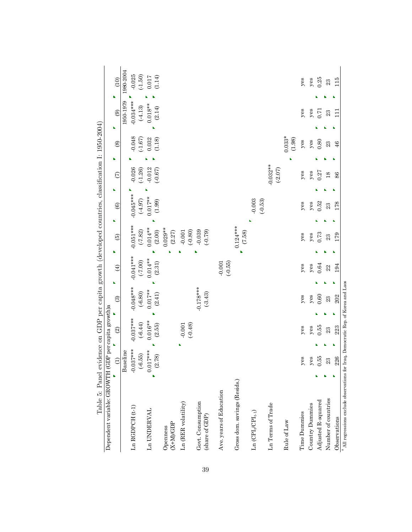| Fannitation is the contract of the product of the contract of the contract of the contract of the contract of the contract of the contract of the contract of the contract of the contract of the contract of the contract of |                      |                          |                          |                       |                       |                    |                          |                         |    |                    |                     |            |
|-------------------------------------------------------------------------------------------------------------------------------------------------------------------------------------------------------------------------------|----------------------|--------------------------|--------------------------|-----------------------|-----------------------|--------------------|--------------------------|-------------------------|----|--------------------|---------------------|------------|
| Dependent variable: GROWTH                                                                                                                                                                                                    |                      | (GDP per capita growth)a |                          |                       |                       |                    |                          |                         |    |                    |                     |            |
|                                                                                                                                                                                                                               | $\widehat{c}$        | $\odot$                  | $\widehat{\odot}$        | $\bigoplus$           | b,                    | ь<br>$\widehat{5}$ | $\widehat{\mathfrak{G}}$ | $\widehat{C}$           | ĥ. | $\circledS$        | $\odot$<br>b,       | (10)<br>ĥ. |
|                                                                                                                                                                                                                               | Baseline             |                          |                          |                       |                       |                    |                          |                         |    |                    | 1950-1979           | 1980-2004  |
| $Ln$ $RGDPCH$ $(t-1)$                                                                                                                                                                                                         | $-0.037***$          | $-0.037***$              | $-0.048***$              | $-0.041***$           | $-0.051***$           |                    | $-0.045***$              | $-0.026$                |    | $-0.048$           | $-0.034***$         | $-0.025$   |
|                                                                                                                                                                                                                               | $(-6.55)$            | $(-6.44)$                | $(-6.80)$                | $(-7.00)$             | $(-7.82)$             |                    | (.4.97)                  | $(-1.26)$               |    | $(-1.67)$          | $(-4.13)$           | $(-1.50)$  |
| Ln UNDERVAL                                                                                                                                                                                                                   | $0.017***$<br>(2.78) | $0.016^{**}$<br>(2.55)   | $0.017**$<br>(2.41)      | $0.014**$<br>(2.31)   | $0.014**$<br>(2.00)   |                    | $0.017**$<br>(1.99)      | $-0.012$<br>$(-0.67)$   |    | 0.032<br>(1.18)    | $0.018**$<br>(2.14) | (1.14)     |
| $(X+M)/GDP$<br>Openness                                                                                                                                                                                                       |                      |                          |                          |                       | $0.029**$<br>$(2.27)$ |                    |                          |                         |    |                    |                     |            |
| Ln (RER volatility)                                                                                                                                                                                                           |                      | (0.001                   |                          |                       | $-0.001$              |                    |                          |                         |    |                    |                     |            |
| Govt. Consumption<br>(share of GDP)                                                                                                                                                                                           |                      |                          | $-0.178***$<br>$(-3.43)$ |                       | (0.80)<br>$(-0.79)$   | $-0.039$           |                          |                         |    |                    |                     |            |
| Ave. years of Education                                                                                                                                                                                                       |                      |                          |                          | $(-0.55)$<br>$-0.001$ |                       |                    |                          |                         |    |                    |                     |            |
| Gross dom. savings (Resids.)                                                                                                                                                                                                  |                      |                          |                          |                       | $0.124***$<br>(7.58)  |                    |                          |                         |    |                    |                     |            |
| $\text{Ln}\left(\text{CPI}_{v}\text{CPI}_{t\text{-}1}\right)$                                                                                                                                                                 |                      |                          |                          |                       |                       |                    | $-0.003$<br>$(-0.53)$    |                         |    |                    |                     |            |
| Ln Terms of Trade                                                                                                                                                                                                             |                      |                          |                          |                       |                       |                    |                          | $-0.032**$<br>$(-2.07)$ |    |                    |                     |            |
| Rule of Law                                                                                                                                                                                                                   |                      |                          |                          |                       |                       |                    |                          |                         |    | $0.033*$<br>(1.98) |                     |            |
| Time Dummies                                                                                                                                                                                                                  | yes                  | yes                      | $y$ es                   | $y$ es                |                       | $y$ es             | $y$ es                   | $y$ es                  |    | $y$ es             | $y$ es              | $y$ es     |
| Country Dummies                                                                                                                                                                                                               | $y$ es               | $y$ es                   | $y$ es                   | $y$ es                |                       | $y$ es             | $y$ es                   | $y$ es                  |    | $y$ es             | $y$ es              | $y$ es     |
| Adjusted R-squared                                                                                                                                                                                                            | 0.55                 | 0.55                     | 0.60                     | $\bf 0.64$            |                       | $\!0.73\!$         | 0.52                     | 0.27                    |    | 0.80               | 0.71                | 0.25       |
| Number of countries                                                                                                                                                                                                           | 23                   | 23                       | 23                       | 22                    |                       | $\mathbf{23}$      | 23                       | 18                      |    | 23                 | 23                  | 23         |
| Observations                                                                                                                                                                                                                  | 226                  | 223                      | 202                      | 194                   |                       | 179                | 178                      | 86                      |    | 46                 | $\Xi$               | 115        |
| $^{\rm a}$ All regressions exclude observations for Iraq, Democratic Rep. of Korea and Laos                                                                                                                                   |                      |                          |                          |                       |                       |                    |                          |                         |    |                    |                     |            |

 $\frac{1}{2}$   $\frac{1}{2}$   $\frac{1}{2}$   $\frac{1}{2}$   $\frac{1}{2}$   $\frac{1}{2}$   $\frac{1}{2}$   $\frac{1}{2}$   $\frac{1}{2}$   $\frac{1}{2}$   $\frac{1}{2}$   $\frac{1}{2}$   $\frac{1}{2}$   $\frac{1}{2}$   $\frac{1}{2}$   $\frac{1}{2}$   $\frac{1}{2}$   $\frac{1}{2}$   $\frac{1}{2}$   $\frac{1}{2}$   $\frac{1}{2}$   $\frac{1}{2}$  Table 5: Panel evidence on GDP per capita growth (developed countries, classification I: 1950-2004)  $\frac{1}{2}$ j  $\ddot{ }$  $+1.7$   $(1$  and  $2.7$  $\frac{1}{2}$  $\overline{A}$  and  $\overline{B}$ Table 5: Panel evider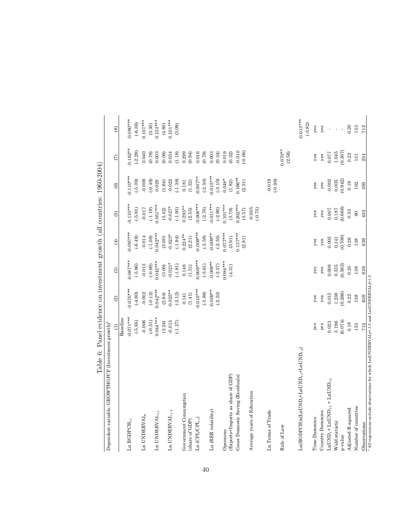| Dependent variable: GROWTHGFCF (Investment growth) <sup>ª</sup>                                  |                      |                         |                                               |                       |                       |                       |                      |                          |
|--------------------------------------------------------------------------------------------------|----------------------|-------------------------|-----------------------------------------------|-----------------------|-----------------------|-----------------------|----------------------|--------------------------|
|                                                                                                  | $\widehat{\Xi}$      | $\widehat{2}$           | $\odot$                                       | $\bigoplus$           | $\odot$               | $\circledcirc$        | $\epsilon$           | $\circledast$            |
|                                                                                                  | Baseline             |                         |                                               |                       |                       |                       |                      |                          |
| ${\rm Ln}$ RGDPC ${\rm H}_{\rm t1}$                                                              | $0.071***$           | $0.070***$              | $0.087***$                                    | $0.097***$            | $0.110***$            | $0.110***$            | $-0.162**$           | $0.080***$               |
|                                                                                                  | $(-5.65)$            | $(-4.90)$               | $(-5.96)$                                     | $(-6.49)$             | $(-5.81)$             | $(-5.09)$             | $(-2.29)$            | $(-6.36)$                |
| $Ln$ UNDERVAL,                                                                                   | $-0.006$             | $-0.002$                | $-0.013$                                      | $-0.014$              | $-0.017$              | $-0.009$              | 0.040                | $0.107***$               |
|                                                                                                  | $(-0.51)$            | $(-0.12)$               | (.0.99)                                       | $(-1.08)$             | $(-1.19)$             | $(-0.49)$             | (0.78)               | (3.30)                   |
| ${\rm Ln}$ UNDERVAL $_{t\text{-}1}$                                                              | $0.044***$           | $0.042***$              | $0.042***$                                    | $0.042***$            | $0.051***$            | 0.029                 | 0.003                | $0.153***$               |
|                                                                                                  | (3.24)               | (2.94)                  | $(3.00)$                                      | $(3.00)$<br>$-0.023*$ | (3.42)                | $(1.64)$<br>$-0.022$  | (0.08)               | (4.80)                   |
| Ln UNDERVAL $_{\rm t\text{-}2}$                                                                  | $-0.015$             | $-0.025**$              | $-0.021*$                                     |                       | $-0.027*$             |                       | 0.034                | $0.101***$               |
|                                                                                                  | $(-1.27)$            | $(-2.12)$               | $(-1.81)$                                     | $(-1.94)$             | $(-1.93)$             | $(-1.38)$             | (1.18)               | (3.09)                   |
| Government Consumption                                                                           |                      | 0.141                   | 0.148                                         | $0.224***$            | $0.295**$             | 0.181                 | 0.299                |                          |
| (share of GDP)                                                                                   |                      | (1.41)                  | (1.51)                                        | (2.21)                | (2.55)                | (1.32)                | (0.94)               |                          |
| $Ln (CPIt CPIt-1)$                                                                               |                      | $0.010***$              | $0.009***$                                    | $-0.009***$           | $0.008***$            | $0.007***$            | 0.016                |                          |
|                                                                                                  |                      | $(-3.88)$               | $(-3.61)$                                     | $(-3.58)$             | $(-2.70)$             | $(-2.50)$             | (0.79)               |                          |
| Ln (RER volatility)                                                                              |                      | $-0.009**$<br>$(-2.53)$ | $-0.009**$<br>$(-2.57)$                       | $0.009**$             | $0.011***$<br>(-2.90) | $0.015***$            | $0.003$<br>$(0.34)$  |                          |
|                                                                                                  |                      |                         |                                               | $(-2.55)$             |                       | $(-3.10)$             |                      |                          |
| Openness                                                                                         |                      |                         | $0.084***$                                    | $0.077***$            | $0.101***$            | $0.048*$              | 0.019                |                          |
| (Exports+Imports as share of GDP)                                                                |                      |                         | (4.31)                                        | (3.91)                | (3.79)                | (1.82)                | (0.32)               |                          |
| Gross Domestic Saving (Residuals)                                                                |                      |                         |                                               | $0.137***$<br>(2.81)  | $0.202***$<br>(3.57)  | $0.166**$<br>(2.31)   | $-0.010$<br>(.0.06)  |                          |
| Average years of Education                                                                       |                      |                         |                                               |                       | $-0.005$<br>$(-0.75)$ |                       |                      |                          |
| Ln Terms of Trade                                                                                |                      |                         |                                               |                       |                       | $-0.019$<br>$(-0.98)$ |                      |                          |
| Rule of Law                                                                                      |                      |                         |                                               |                       |                       |                       | $0.070**$<br>(2.58)  |                          |
| $\rm La(RGDFCH)x(LnUND_t+LnUND_{t\text{-}1}+LnUND_{t\text{-}2})$                                 |                      |                         |                                               |                       |                       |                       |                      | $-0.013***$<br>$(-3.82)$ |
| Time Dummies                                                                                     | yes                  | yes                     | yes                                           | yes                   | yes                   | yes                   | yes                  | $y$ es                   |
| Country Dummies                                                                                  | yes                  | yes                     | $y$ es                                        | $y$ es                | $y$ es                | yes                   | $y$ es               | $y$ es                   |
| $\text{LnUND}_t + \text{LnUND}_{t-1} + \text{LnUND}_{t-2}$                                       | 0.023                | 0.015                   | $0.008$                                       | 0.005                 | 0.007                 | $-0.002$              | 0.077                |                          |
| Wald statistic                                                                                   | $3.196$<br>$(0.074)$ | $1.238$<br>$(0.266)$    | $\begin{array}{c} 0.335 \\ 0.563 \end{array}$ | $\frac{0.141}{0.708}$ | $0.187$<br>$(0.666)$  | $0.005$<br>$(0.942)$  | $1.045$<br>$(0.307)$ |                          |
| p-value                                                                                          |                      |                         |                                               |                       |                       |                       |                      |                          |
| Adjusted R-squared                                                                               | 0.18                 | 0.22                    | 0.25                                          | $0.26\,$              | 0.33                  | 0.19                  | 0.22                 | 0.20                     |
| Number of countries                                                                              | 153                  | 138                     | 138                                           | 138                   | $\overline{6}$        | 102                   | $131\,$              | 153                      |
| Observations                                                                                     | 712                  | 639                     | 639                                           | 639                   | 432                   | 395                   | 234                  | 712                      |
| $^{\rm a}$ All regressions exclude observations for which Ln(UNDERVAL)<-1.5 and Ln(UNDERVAL)<1.5 |                      |                         |                                               |                       |                       |                       |                      |                          |

Table 6: Panel evidence on investment growth (all countries: 1960-2004) Table 6: Panel evidence on investment growth (all countries: 1960-2004)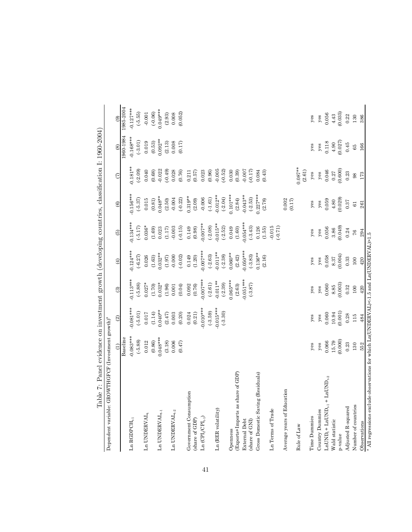| GROWTHGFCF (Investment growth) <sup>a</sup><br>Dependent variable:                               |                      |                                                |                         |                                                |                                                |                   |                        |                   |                                   |
|--------------------------------------------------------------------------------------------------|----------------------|------------------------------------------------|-------------------------|------------------------------------------------|------------------------------------------------|-------------------|------------------------|-------------------|-----------------------------------|
|                                                                                                  | $\widehat{\Xi}$      | $\odot$                                        | $\widehat{\mathcal{E}}$ | $\bigoplus$                                    | $\widehat{6}$                                  | $\circledcirc$    | $\widehat{c}$          | $\circledast$     | $\odot$                           |
|                                                                                                  | Baseline             |                                                |                         |                                                |                                                |                   |                        | 1960-1984         | 1985-2004                         |
| Ln RGDPCH $_{t,1}$                                                                               | $0.083***$           | $0.081***$                                     | $0.113***$              | $0.124***$                                     | $0.134***$                                     | $0.156***$        | $0.181**$              | $0.168***$        | $0.127***$                        |
|                                                                                                  | $(-5.88)$            | $(-5.01)$                                      | $(-5.88)$               | $(-6.27)$                                      | $(-5.17)$                                      | $(-5.37)$         | $(-2.09)$              | $(-3.01)$         | $(-5.55)$                         |
| Ln UNDERVAL,                                                                                     | 0.012                | $\begin{array}{c} 0.017 \\ (1.14) \end{array}$ | $0.027*$                | $0.026$<br>(1.63)                              | $0.036*$                                       | 0.015             | 0.040                  | 0.019             | $-0.001$<br>$(-0.06)$<br>0.049*** |
|                                                                                                  | $\left( 0.86\right)$ |                                                | (1.70)                  |                                                | $(1.69)$<br>0.023                              | (0.81)            | $(0.68)$<br>$-0.022$   | (0.53)            |                                   |
| ${\rm Ln}$ UNDERVAL $_{t\text{-}1}$                                                              | $0.048***$           | $0.040**$                                      | $0.032*$                | $0.032**$                                      |                                                | $0.048**$         |                        | $0.092**$         |                                   |
|                                                                                                  | (3.18)               | $(2.47)$                                       | (1.96)                  | $(1.97)$                                       | (1.17)                                         | $(2.50)$          | (0.49)                 | (2.13)            | $\left( 2.93\right)$              |
| Ln UNDERVAL $_{\rm t\text{-}2}$                                                                  | 0.006                | 0.003                                          | $0.001\,$               | $-0.000$                                       | $-0.003$                                       | $-0.004$          | 0.028                  | 0.008             | 0.008                             |
|                                                                                                  | (0.47)               | $(0.20)$                                       | (0.04)                  | $(-0.02)$                                      | $(-0.15)$                                      | $(-0.22)$         | (0.76)                 | (0.17)            | (0.052)                           |
| Government Consumption                                                                           |                      | 0.024                                          | 0.092                   | 0.149                                          | 0.149                                          | $0.319**$         | 0.211                  |                   |                                   |
| (share of GDP)                                                                                   |                      | $(0.21)$                                       | (0.76)                  | $(1.20)$                                       | (0.98)                                         | (2.09)            | $(0.57)$               |                   |                                   |
| $\text{Ln}(\text{CPI}_{t} / \text{CPI}_{t \cdot 1})$                                             |                      | $0.010***$                                     | $0.007***$              | $0.007***$                                     | $0.007**$                                      | $-0.006$          | 0.023                  |                   |                                   |
|                                                                                                  |                      | $(-3.59)$                                      | $(-2.61)$               | $(-2.63)$                                      | $(-2.08)$                                      | (.1.61)           | (0.96)                 |                   |                                   |
| Ln (RER volatility)                                                                              |                      | $0.015***$                                     | $-0.011**$              | $0.011**$                                      | $-0.015**$                                     | $0.012**$         | $-0.005$               |                   |                                   |
|                                                                                                  |                      | $(-3.30)$                                      | $(-2.39)$               | $(-2.38)$                                      | $(-2.52)$                                      | $(-2.04)$         | $(-0.52)$              |                   |                                   |
| Openness                                                                                         |                      |                                                | $0.065***$              | $0.060**$                                      | 0.049                                          | $0.101***$        | 0.030                  |                   |                                   |
| share of GDP)<br>(Exports+Imports as                                                             |                      |                                                | (2.63)                  | (2.42)                                         | $(1.60)$                                       | (2.84)            | (0.39)                 |                   |                                   |
| External Debt                                                                                    |                      |                                                | $0.051***$              | $0.050***$                                     | $0.054***$                                     | $0.043**$         | $-0.007$               |                   |                                   |
| (share of GNI)                                                                                   |                      |                                                | $(-3.87)$               | $(-3.83)$                                      | $(-3.43)$                                      | $(-2.53)$         | (0.17)                 |                   |                                   |
| g (Residuals)<br>Gross Domestic Savir                                                            |                      |                                                |                         | $0.136**$                                      | 0.126                                          | $0.227***$        | 0.084                  |                   |                                   |
|                                                                                                  |                      |                                                |                         | (2.16)                                         | (1.55)                                         | (2.78)            | (0.43)                 |                   |                                   |
| Ln Terms of Trade                                                                                |                      |                                                |                         |                                                | $-0.015$<br>$(-0.71)$                          |                   |                        |                   |                                   |
| Average years of Education                                                                       |                      |                                                |                         |                                                |                                                | 0.002<br>(0.17)   |                        |                   |                                   |
| Rule of Law                                                                                      |                      |                                                |                         |                                                |                                                |                   | $0.087**$<br>(2.61)    |                   |                                   |
| Time Dummies                                                                                     | yes                  | $y$ es                                         | yes                     | $y$ es                                         | $y$ es                                         | $y$ es            | $y$ es                 | $y$ es            | $y$ es                            |
| Country Dummies                                                                                  | $y$ es               | $y$ es                                         | $y$ es                  | $y$ es                                         | $y$ es                                         | $y$ es            | yee                    | $y$ es            | $y$ es                            |
| + $\text{LnUND}_{\text{t-2}}$<br>$\texttt{LnUND}_{t} + \texttt{LnUND}_{t\text{-}1}$              | 0.066                | 0.060                                          | 0.060                   | 0.058                                          | 0.056                                          | 0.059             | 0.046                  | 0.118             | 0.056                             |
| Wald statistic                                                                                   | 15.79                | 10.94                                          | $\frac{8.85}{(0.003)}$  | $\begin{array}{c} 8.37 \\ (0.004) \end{array}$ | $\begin{array}{c} 3.86 \\ (0.049) \end{array}$ | $4.80$<br>(0.029) | $\frac{0.27}{(0.600)}$ | $4.90$<br>(0.027) | $4.43$<br>(0.035)                 |
| p-value                                                                                          | (0.000)              | (0.001)                                        |                         |                                                |                                                |                   |                        |                   |                                   |
| Adjusted R-squared                                                                               | 0.23                 | 0.28                                           | 0.32                    | 0.33                                           | 0.24                                           | $\rm 0.37$        | 0.23                   | 0.45              | 0.22                              |
| Number of countries                                                                              | 130                  | 115                                            | $100\,$                 | $100\,$                                        | 76                                             | $\mathbb{G}$      | $98$                   | 65                | 130                               |
| Observations                                                                                     | 552                  | 484                                            | $420$                   | 420                                            | 294                                            | 261               | 173                    | 166               | 386                               |
| $^{\rm a}$ All regressions exclude observations for which Ln(UNDERVAL)<-1.5 and Ln(UNDERVAL)>1.5 |                      |                                                |                         |                                                |                                                |                   |                        |                   |                                   |

Table 7: Panel evidence on investment growth (developing countries, classification I:  $1960-2004$ ) Table 7: Panel evidence on investment growth (developing countries, classification I: 1960-2004)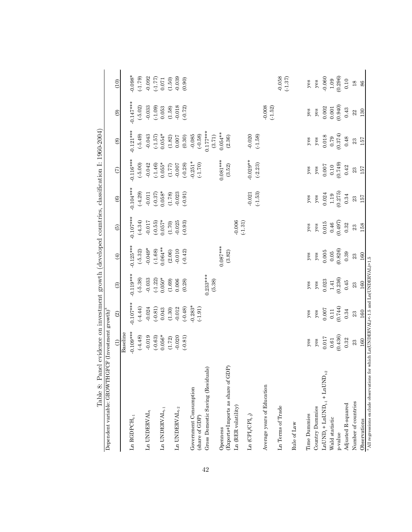| Dependent variable: GROWTHGFCF (Investment growth) <sup>ª</sup>                                            |                        |                        |                     |                        |                       |                                                       |                        |                                                        |                                                         |                                 |
|------------------------------------------------------------------------------------------------------------|------------------------|------------------------|---------------------|------------------------|-----------------------|-------------------------------------------------------|------------------------|--------------------------------------------------------|---------------------------------------------------------|---------------------------------|
|                                                                                                            | $\widehat{\mathbf{d}}$ | $\odot$                | $\odot$             | $\bigoplus$            | $\widehat{5}$         | $\circlede$                                           | $\widehat{C}$          | $\circledast$                                          | $\circledcirc$                                          | (10)                            |
|                                                                                                            | Baseline               |                        |                     |                        |                       |                                                       |                        |                                                        |                                                         |                                 |
| L<br>n RGDPCH $_{\rm t\text{-}1}$                                                                          | $0.109***$             | $-0.107***$            | $-0.119***$         | $0.125***$             | $0.107***$            | $0.104***$                                            | $0.116***$             | $0.121***$                                             | $0.147***$                                              | $0.098*$                        |
|                                                                                                            | $(-4.48)$              | $(-4.44)$              | $(-5.38)$           | $(-5.32)$              | $(-4.34)$             | $(-4.29)$                                             | $(-5.00)$              | $(-5.49)$                                              | $(-5.02)$                                               | $(-1.79)$                       |
| Ln UNDERVAL,                                                                                               | $-0.019$               | $-0.024$               | $-0.033$            | $-0.049*$              | $-0.017$              | $-0.011$                                              | $-0.042$               | $-0.043$                                               | $-0.033$                                                | $-0.092$                        |
|                                                                                                            | $(-0.63)$              | $(-0.81)$              | $(-1.22)$           | (.1.68)                |                       |                                                       | (.1.46)                |                                                        | $(-1.09)$                                               | (1.77)                          |
| Ln UNDERVAL $\mathfrak{t}_{\cdot,1}$                                                                       | $0.056*$               | 0.043                  | $0.050*$            | $0.064***$             | $(-0.55)$<br>0.057*   | $(0.37)$<br>0.058*                                    | $0.055*$               | $(-1.57)$<br>0.054*                                    | 0.053                                                   | 0.071                           |
|                                                                                                            | (1.72)                 | (1.30)                 | (1.69)              | $(2.06)$               | $(1.70)$              | (1.78)                                                | (1.77)                 | (1.82)                                                 | (1.58)                                                  | (1.50)                          |
| Ln UNDERVAL, $_2$                                                                                          | $-0.020$               | $-0.012$               | 0.006               | $-0.010$               | $-0.025$              | $-0.023$                                              | $-0.007$               | $0.007$                                                | $-0.018$                                                | $-0.039$                        |
|                                                                                                            | $(-0.81)$              | $(-0.48)$              | (0.28)              | $(-0.42)$              | $(-0.93)$             | (.0.91)                                               | $(-0.28)$              | $(0.30)$                                               | $(-0.72)$                                               | (0.90)                          |
| Government Consumption<br>(share of GDP)                                                                   |                        | $-0.283*$<br>$(-1.91)$ |                     |                        |                       |                                                       | $-0.251*$<br>$(-1.70)$ | $-0.085$<br>$(-0.58)$                                  |                                                         |                                 |
| Gross Domestic Saving (Residuals)                                                                          |                        |                        | $0.233***$          |                        |                       |                                                       |                        | $0.177***$                                             |                                                         |                                 |
|                                                                                                            |                        |                        | (6.38)              |                        |                       |                                                       |                        | (3.71)                                                 |                                                         |                                 |
| Openness                                                                                                   |                        |                        |                     | $0.087***$             |                       |                                                       | $0.081***$             | $0.054**$                                              |                                                         |                                 |
| (Exports+Imports as share of GDP)                                                                          |                        |                        |                     | (3.82)                 |                       |                                                       | (3.52)                 | (2.36)                                                 |                                                         |                                 |
| $Ln$ (RER volatility)                                                                                      |                        |                        |                     |                        | $-0.006$<br>$(-1.31)$ |                                                       |                        |                                                        |                                                         |                                 |
| $\mathop{\rm Ln}\nolimits$ $(\mathop{\rm CPI}\nolimits_{t} / \mathop{\rm CPI}\nolimits_{t \cdot \cdot 1})$ |                        |                        |                     |                        |                       | $-0.021$                                              | $0.029**$              | $-0.020$                                               |                                                         |                                 |
|                                                                                                            |                        |                        |                     |                        |                       | $(-1.53)$                                             | $(-2.23)$              | $(-1.58)$                                              |                                                         |                                 |
| Average years of Education                                                                                 |                        |                        |                     |                        |                       |                                                       |                        |                                                        | $-0.008$<br>$(-1.52)$                                   |                                 |
| Ln Terms of Trade                                                                                          |                        |                        |                     |                        |                       |                                                       |                        |                                                        |                                                         | $-0.058$<br>$(-1.37)$           |
| Rule of Law                                                                                                |                        |                        |                     |                        |                       |                                                       |                        |                                                        |                                                         |                                 |
| Time Dummies                                                                                               | yes                    | yes                    | yes                 | $y$ es                 | $y$ es                | yes                                                   | $y$ es                 | $y$ es                                                 | $y$ es                                                  | yes                             |
| Country Dummies                                                                                            | $y$ es                 | $y$ es                 | $y$ es              | $y$ es                 | $y$ es                | $y$ es                                                | $y$ es                 | $y$ es                                                 | $y\texttt{es}$                                          | $y$ es                          |
| $\text{LnUND}_{\text{t}} + \text{LnUND}_{\text{t-1}} + \text{LnUND}_{\text{t-2}}$                          | $0.017$                | $0.007$                | 0.023               | 0.005                  | $0.015\,$             |                                                       | $0.007$                |                                                        |                                                         |                                 |
| Wald statistic                                                                                             | $\bf 0.61$             | $0.11$<br>$(0.744)$    | $1.41$<br>$(0.236)$ | $\frac{0.05}{(0.826)}$ | $0.46$ (0.497)        | $\begin{array}{c} 0.024 \\ 1.19 \\ 0.275 \end{array}$ | $\frac{0.10}{(0.749)}$ | $\begin{array}{c} 0.018 \\ 0.79 \\ 0.374) \end{array}$ | $\begin{array}{c} 0.002 \\ 0.001 \\ 0.940) \end{array}$ | $-0.060$<br>$1.09$<br>$(0.296)$ |
| p-value                                                                                                    | (0.436)                |                        |                     |                        |                       |                                                       |                        |                                                        |                                                         |                                 |
| Adjusted R-squared                                                                                         | 0.32                   | 0.34                   | 0.45                | 0.39                   | 0.32                  | $\rm 0.34$                                            | 0.42                   | $0.48\,$                                               | 0.43                                                    | 0.10                            |
| Number of countries                                                                                        | 23                     | 23                     | $23\,$              | 23                     | $\rm 23$              | $\mathbf{23}$                                         | 23                     | $\rm 23$                                               | 22                                                      | $18$                            |
| Observations                                                                                               | 160                    | 160                    | 160                 | 160                    | 158                   | 157                                                   | 157                    | 157                                                    | 130                                                     | 86                              |
| <sup>a</sup> All regressions exclude observations for which Ln(UNDERVAL) $\lt-1.5$ and Ln(UNDERVAL) $>1.5$ |                        |                        |                     |                        |                       |                                                       |                        |                                                        |                                                         |                                 |

Table 8: Panel evidence on investment growth (developed countries, classification I: 1960-2004) Table 8: Panel evidence on investment growth (developed countries, classification I: 1960-2004)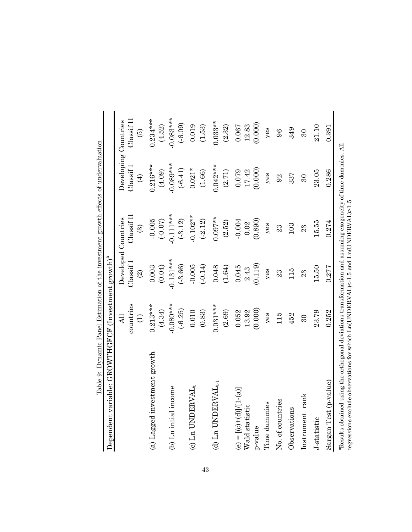| Dependent variable: GROWTHGFCF (Investment growth) <sup>a</sup>                                                           |                     |                          |                         |                      |                      |
|---------------------------------------------------------------------------------------------------------------------------|---------------------|--------------------------|-------------------------|----------------------|----------------------|
|                                                                                                                           | All                 |                          | Developed Countries     | Developing Countries |                      |
|                                                                                                                           | countries           | Classif                  | $\text{Class}$ if $\Pi$ | Classif              | Classif <sub>I</sub> |
|                                                                                                                           | $\widehat{\ominus}$ | $\widehat{\mathfrak{D}}$ | $\widehat{\odot}$       | $\bigoplus$          | $\widehat{e}$        |
| (a) Lagged investment growth                                                                                              | $0.213***$          | 0.003                    | $-0.005$                | $0.216***$           | $0.234***$           |
|                                                                                                                           | (4.34)              | (0.04)                   | (0.07)                  | (4.09)               | (4.52)               |
| (b) Ln intial income                                                                                                      | $-0.080**$          | $-0.131***$              | $-0.111***$             | $-0.089***$          | $-0.083***$          |
|                                                                                                                           | $(-6.25)$           | $(-3.66)$                | $(-3.12)$               | $(-6.41)$            | $(-6.09)$            |
| (c) $Ln$ UNDERVAL <sub>t</sub>                                                                                            | 0.010               | $-0.005$                 | $-0.102**$              | $0.021*$             | 0.019                |
|                                                                                                                           | (0.83)              | $(-0.14)$                | $(-2.12)$               | (1.66)               | (1.53)               |
| (d) Ln UNDERVA $\rm L_{t\text{-}1}$                                                                                       | $0.031***$          | 0.048                    | $0.097**$               | $0.042***$           | $0.033**$            |
|                                                                                                                           | (2.69)              | (1.64)                   | (2.52)                  | (2.71)               | (2.32)               |
| (e) = $[(c)+(d)]/[1-(a)]$                                                                                                 | 0.052               | 0.045                    | $-0.004$                | 0.079                | 0.067                |
| Wald statistic                                                                                                            | 13.92               | 2.43                     | 0.02                    | 17.42                | 12.83                |
| p-value                                                                                                                   | (0.000)             | (0.119)                  | (0.890)                 | (0.000)              | (0.000)              |
| Time dummies                                                                                                              | yes                 | $y$ es                   | yes                     | $y$ es               | $y$ es               |
| No. of countries                                                                                                          | 115                 | 23                       | 23                      | 92                   | 96                   |
| Observations                                                                                                              | 452                 | 115                      | 103                     | 337                  | 349                  |
| Instrument rank                                                                                                           | $30\,$              | 23                       | 23                      | $30\,$               | $30\,$               |
| J-statistic                                                                                                               | 23.79               | 15.50                    | 15.55                   | 23.05                | 21.10                |
| Sargan Test (p-value)                                                                                                     | 0.252               | 0.277                    | 0.274                   | 0.286                | 0.391                |
| <sup>a</sup> Results obtained using the orthogonal deviations transformation and assuming exogeneity of time dummies. All |                     |                          |                         |                      |                      |

regressions exclude observations for which Ln(UNDERVAL)<-1.5 and Ln(UNDERVAL)>1.5

Table 9: Dynamic Panel Estimation of the investment growth effects of undervaluation Table 9: Dynamic Panel Estimation of the investment growth effects of undervaluation